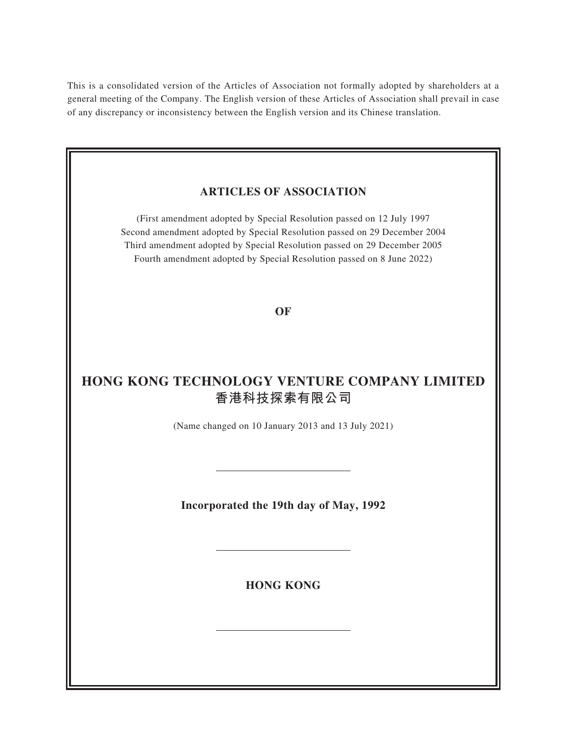This is a consolidated version of the Articles of Association not formally adopted by shareholders at a general meeting of the Company. The English version of these Articles of Association shall prevail in case of any discrepancy or inconsistency between the English version and its Chinese translation.

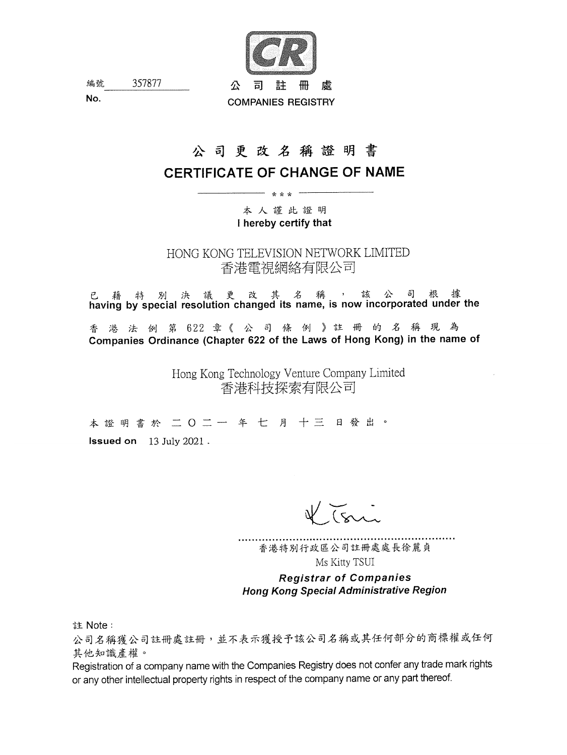

357877 編號 No.

# 公司更改名稱證明書

# **CERTIFICATE OF CHANGE OF NAME**

ر<br>سواسطه سال ۱۰۰۰

本人謹此證明 I hereby certify that

HONG KONG TELEVISION NETWORK LIMITED 香港電視網絡有限公司

已 藉 特 別 決 議 更 改 其 名 稱 , 該 公 司 根 據<br>having by special resolution changed its name, is now incorporated under the

香港法例第622 章《公司條例》註册的名稱現為 Companies Ordinance (Chapter 622 of the Laws of Hong Kong) in the name of

> Hong Kong Technology Venture Company Limited 香港科技探索有限公司

本證明書於 二〇二一年七月十三日發出。 **Issued on** 13 July 2021.

香港特別行政區公司註冊處處長徐麗貞 Ms Kitty TSUI

**Registrar of Companies Hong Kong Special Administrative Region** 

註 Note:

公司名稱獲公司註冊處註冊,並不表示獲授予該公司名稱或其任何部分的商標權或任何 其他知識產權。

Registration of a company name with the Companies Registry does not confer any trade mark rights or any other intellectual property rights in respect of the company name or any part thereof.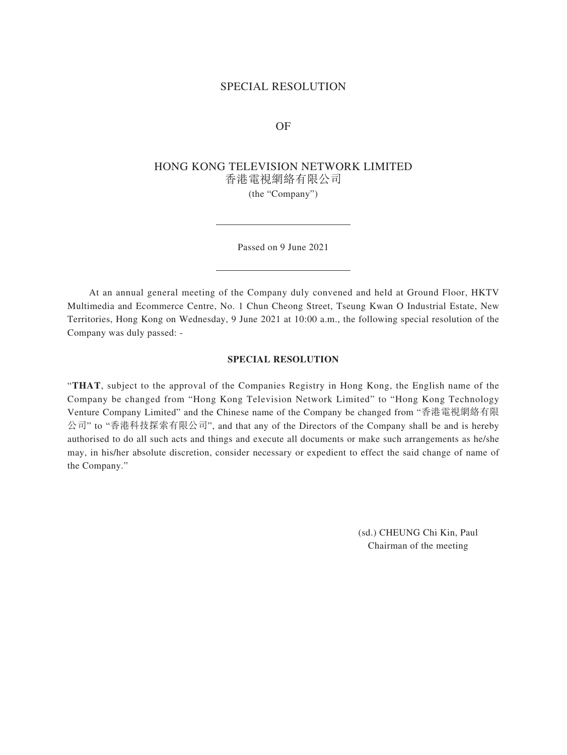## SPECIAL RESOLUTION

OF

## HONG KONG TELEVISION NETWORK LIMITED 香港電視網絡有限公司 (the "Company")

Passed on 9 June 2021

At an annual general meeting of the Company duly convened and held at Ground Floor, HKTV Multimedia and Ecommerce Centre, No. 1 Chun Cheong Street, Tseung Kwan O Industrial Estate, New Territories, Hong Kong on Wednesday, 9 June 2021 at 10:00 a.m., the following special resolution of the Company was duly passed: -

#### **SPECIAL RESOLUTION**

"**THAT**, subject to the approval of the Companies Registry in Hong Kong, the English name of the Company be changed from "Hong Kong Television Network Limited" to "Hong Kong Technology Venture Company Limited" and the Chinese name of the Company be changed from "香港電視網絡有限 公司" to "香港科技探索有限公司", and that any of the Directors of the Company shall be and is hereby authorised to do all such acts and things and execute all documents or make such arrangements as he/she may, in his/her absolute discretion, consider necessary or expedient to effect the said change of name of the Company."

> (sd.) CHEUNG Chi Kin, Paul Chairman of the meeting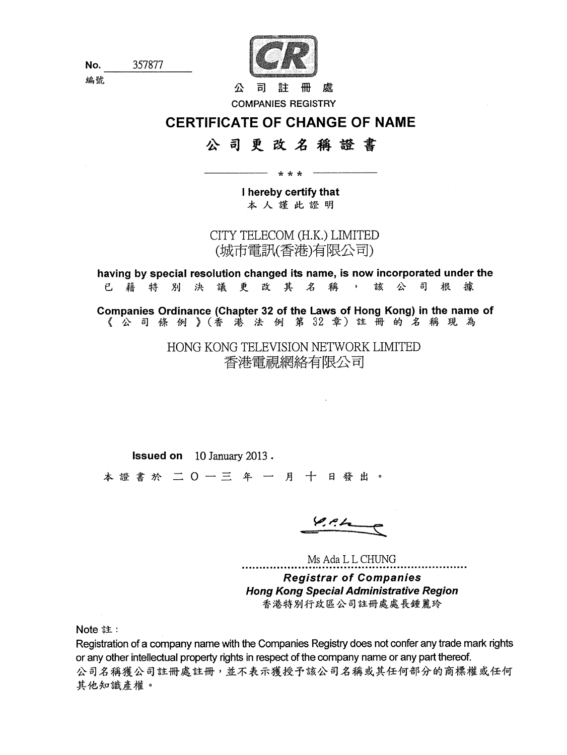

No. 編號 357877

虑 司 公 註 冊 **COMPANIES REGISTRY** 

# **CERTIFICATE OF CHANGE OF NAME**

# 公司更改名稱證書

I hereby certify that 本人謹此證明

\* \* \*

CITY TELECOM (H.K.) LIMITED (城市電訊(香港)有限公司)

having by special resolution changed its name, is now incorporated under the 決議更改其名稱 根 據 e 藉 特 別  $\rightarrow$ 詃 公 司

Companies Ordinance (Chapter 32 of the Laws of Hong Kong) in the name of 《公司條例》(香港法例第32章)註册的名稱現為

> HONG KONG TELEVISION NETWORK LIMITED 香港電視網絡有限公司

**Issued on** 10 January 2013.

本證書於 二〇一三 年 一 月 十 日發出。

 $\varphi$  at

Ms Ada L L CHUNG **Registrar of Companies Hong Kong Special Administrative Region** 香港特別行政區公司註冊處處長鍾麗玲

Note 註:

Registration of a company name with the Companies Registry does not confer any trade mark rights or any other intellectual property rights in respect of the company name or any part thereof. 公司名稱獲公司註冊處註冊,並不表示獲授予該公司名稱或其任何部分的商標權或任何 其他知識產權。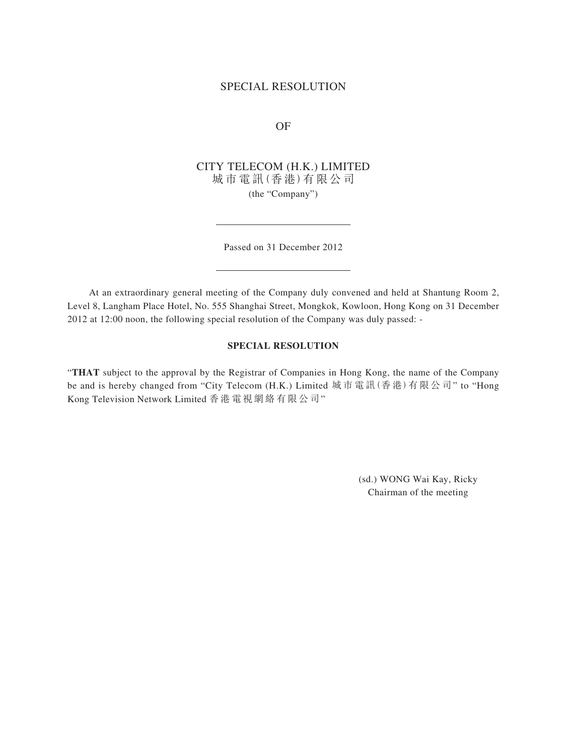## SPECIAL RESOLUTION

OF

CITY TELECOM (H.K.) LIMITED 城 市 電 訊(香 港)有 限 公 司 (the "Company")

Passed on 31 December 2012

At an extraordinary general meeting of the Company duly convened and held at Shantung Room 2, Level 8, Langham Place Hotel, No. 555 Shanghai Street, Mongkok, Kowloon, Hong Kong on 31 December 2012 at 12:00 noon, the following special resolution of the Company was duly passed: -

#### **SPECIAL RESOLUTION**

"**THAT** subject to the approval by the Registrar of Companies in Hong Kong, the name of the Company be and is hereby changed from "City Telecom (H.K.) Limited 城市電訊(香港)有限公司" to "Hong Kong Television Network Limited 香港電視網絡有限公司"

> (sd.) WONG Wai Kay, Ricky Chairman of the meeting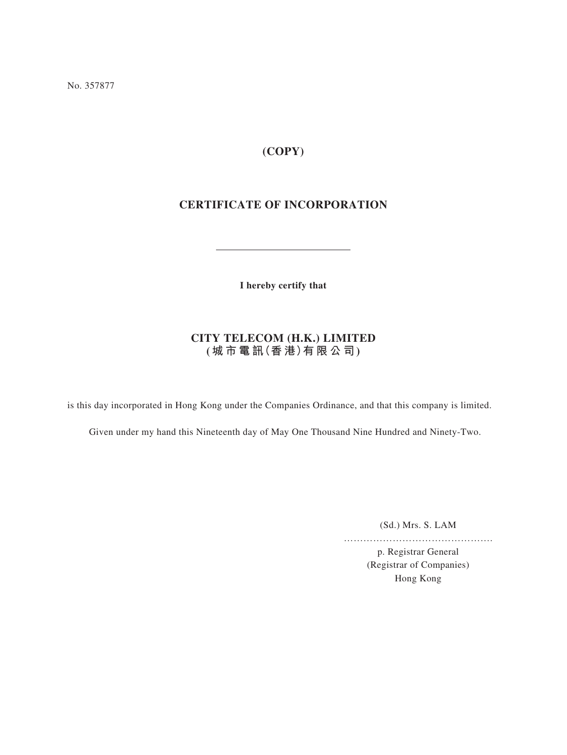No. 357877

# **(COPY)**

# **CERTIFICATE OF INCORPORATION**

**I hereby certify that**

# **CITY TELECOM (H.K.) LIMITED (城 市 電 訊(香 港)有 限 公 司)**

is this day incorporated in Hong Kong under the Companies Ordinance, and that this company is limited.

Given under my hand this Nineteenth day of May One Thousand Nine Hundred and Ninety-Two.

(Sd.) Mrs. S. LAM

……………………………………….

p. Registrar General (Registrar of Companies) Hong Kong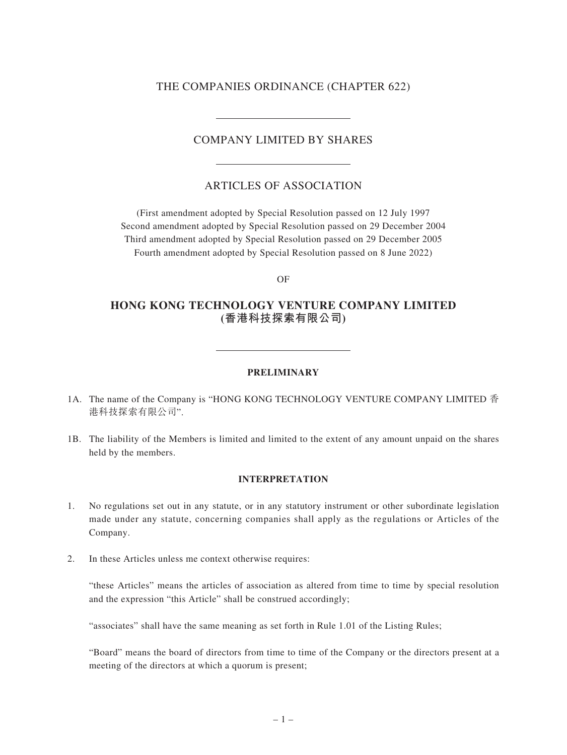## THE COMPANIES ORDINANCE (CHAPTER 622)

## COMPANY LIMITED BY SHARES

## ARTICLES OF ASSOCIATION

(First amendment adopted by Special Resolution passed on 12 July 1997 Second amendment adopted by Special Resolution passed on 29 December 2004 Third amendment adopted by Special Resolution passed on 29 December 2005 Fourth amendment adopted by Special Resolution passed on 8 June 2022)

OF

## **HONG KONG TECHNOLOGY VENTURE COMPANY LIMITED (香港科技探索有限公司)**

#### **PRELIMINARY**

- 1A. The name of the Company is "HONG KONG TECHNOLOGY VENTURE COMPANY LIMITED 香 港科技探索有限公司".
- 1B. The liability of the Members is limited and limited to the extent of any amount unpaid on the shares held by the members.

#### **INTERPRETATION**

- 1. No regulations set out in any statute, or in any statutory instrument or other subordinate legislation made under any statute, concerning companies shall apply as the regulations or Articles of the Company.
- 2. In these Articles unless me context otherwise requires:

"these Articles" means the articles of association as altered from time to time by special resolution and the expression "this Article" shall be construed accordingly;

"associates" shall have the same meaning as set forth in Rule 1.01 of the Listing Rules;

"Board" means the board of directors from time to time of the Company or the directors present at a meeting of the directors at which a quorum is present;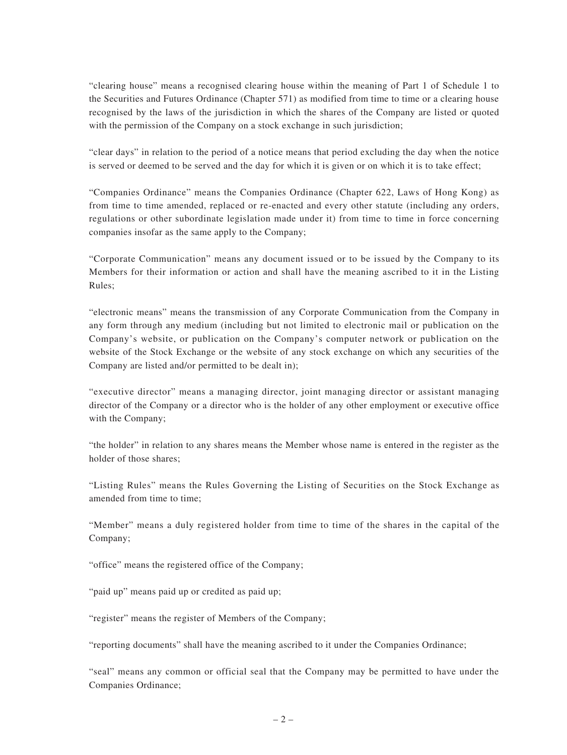"clearing house" means a recognised clearing house within the meaning of Part 1 of Schedule 1 to the Securities and Futures Ordinance (Chapter 571) as modified from time to time or a clearing house recognised by the laws of the jurisdiction in which the shares of the Company are listed or quoted with the permission of the Company on a stock exchange in such jurisdiction;

"clear days" in relation to the period of a notice means that period excluding the day when the notice is served or deemed to be served and the day for which it is given or on which it is to take effect;

"Companies Ordinance" means the Companies Ordinance (Chapter 622, Laws of Hong Kong) as from time to time amended, replaced or re-enacted and every other statute (including any orders, regulations or other subordinate legislation made under it) from time to time in force concerning companies insofar as the same apply to the Company;

"Corporate Communication" means any document issued or to be issued by the Company to its Members for their information or action and shall have the meaning ascribed to it in the Listing Rules;

"electronic means" means the transmission of any Corporate Communication from the Company in any form through any medium (including but not limited to electronic mail or publication on the Company's website, or publication on the Company's computer network or publication on the website of the Stock Exchange or the website of any stock exchange on which any securities of the Company are listed and/or permitted to be dealt in);

"executive director" means a managing director, joint managing director or assistant managing director of the Company or a director who is the holder of any other employment or executive office with the Company;

"the holder" in relation to any shares means the Member whose name is entered in the register as the holder of those shares;

"Listing Rules" means the Rules Governing the Listing of Securities on the Stock Exchange as amended from time to time;

"Member" means a duly registered holder from time to time of the shares in the capital of the Company;

"office" means the registered office of the Company;

"paid up" means paid up or credited as paid up;

"register" means the register of Members of the Company;

"reporting documents" shall have the meaning ascribed to it under the Companies Ordinance;

"seal" means any common or official seal that the Company may be permitted to have under the Companies Ordinance;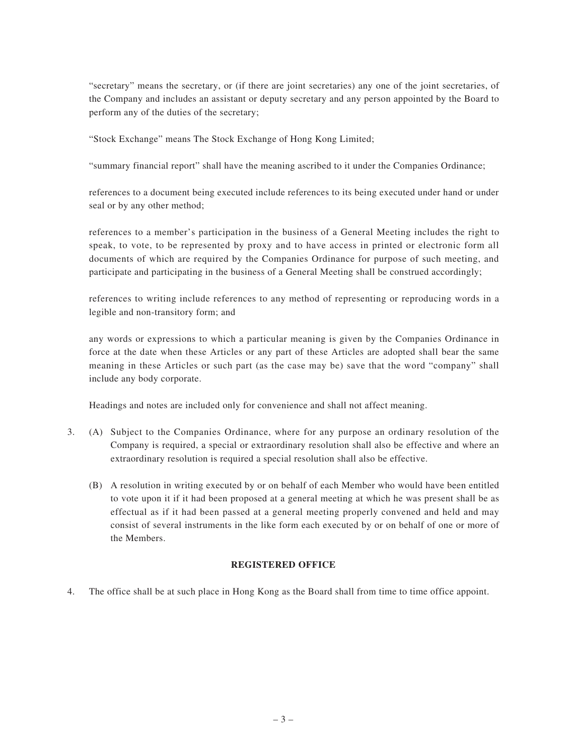"secretary" means the secretary, or (if there are joint secretaries) any one of the joint secretaries, of the Company and includes an assistant or deputy secretary and any person appointed by the Board to perform any of the duties of the secretary;

"Stock Exchange" means The Stock Exchange of Hong Kong Limited;

"summary financial report" shall have the meaning ascribed to it under the Companies Ordinance;

references to a document being executed include references to its being executed under hand or under seal or by any other method;

references to a member's participation in the business of a General Meeting includes the right to speak, to vote, to be represented by proxy and to have access in printed or electronic form all documents of which are required by the Companies Ordinance for purpose of such meeting, and participate and participating in the business of a General Meeting shall be construed accordingly;

references to writing include references to any method of representing or reproducing words in a legible and non-transitory form; and

any words or expressions to which a particular meaning is given by the Companies Ordinance in force at the date when these Articles or any part of these Articles are adopted shall bear the same meaning in these Articles or such part (as the case may be) save that the word "company" shall include any body corporate.

Headings and notes are included only for convenience and shall not affect meaning.

- 3. (A) Subject to the Companies Ordinance, where for any purpose an ordinary resolution of the Company is required, a special or extraordinary resolution shall also be effective and where an extraordinary resolution is required a special resolution shall also be effective.
	- (B) A resolution in writing executed by or on behalf of each Member who would have been entitled to vote upon it if it had been proposed at a general meeting at which he was present shall be as effectual as if it had been passed at a general meeting properly convened and held and may consist of several instruments in the like form each executed by or on behalf of one or more of the Members.

## **REGISTERED OFFICE**

4. The office shall be at such place in Hong Kong as the Board shall from time to time office appoint.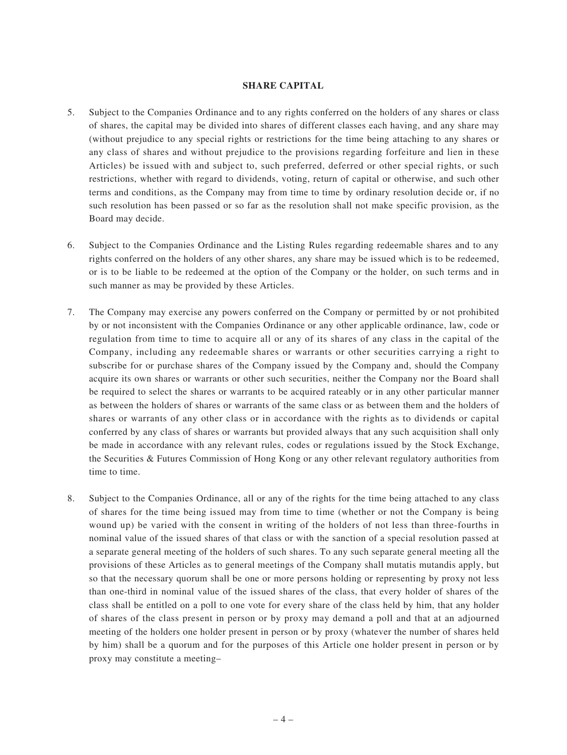## **SHARE CAPITAL**

- 5. Subject to the Companies Ordinance and to any rights conferred on the holders of any shares or class of shares, the capital may be divided into shares of different classes each having, and any share may (without prejudice to any special rights or restrictions for the time being attaching to any shares or any class of shares and without prejudice to the provisions regarding forfeiture and lien in these Articles) be issued with and subject to, such preferred, deferred or other special rights, or such restrictions, whether with regard to dividends, voting, return of capital or otherwise, and such other terms and conditions, as the Company may from time to time by ordinary resolution decide or, if no such resolution has been passed or so far as the resolution shall not make specific provision, as the Board may decide.
- 6. Subject to the Companies Ordinance and the Listing Rules regarding redeemable shares and to any rights conferred on the holders of any other shares, any share may be issued which is to be redeemed, or is to be liable to be redeemed at the option of the Company or the holder, on such terms and in such manner as may be provided by these Articles.
- 7. The Company may exercise any powers conferred on the Company or permitted by or not prohibited by or not inconsistent with the Companies Ordinance or any other applicable ordinance, law, code or regulation from time to time to acquire all or any of its shares of any class in the capital of the Company, including any redeemable shares or warrants or other securities carrying a right to subscribe for or purchase shares of the Company issued by the Company and, should the Company acquire its own shares or warrants or other such securities, neither the Company nor the Board shall be required to select the shares or warrants to be acquired rateably or in any other particular manner as between the holders of shares or warrants of the same class or as between them and the holders of shares or warrants of any other class or in accordance with the rights as to dividends or capital conferred by any class of shares or warrants but provided always that any such acquisition shall only be made in accordance with any relevant rules, codes or regulations issued by the Stock Exchange, the Securities & Futures Commission of Hong Kong or any other relevant regulatory authorities from time to time.
- 8. Subject to the Companies Ordinance, all or any of the rights for the time being attached to any class of shares for the time being issued may from time to time (whether or not the Company is being wound up) be varied with the consent in writing of the holders of not less than three-fourths in nominal value of the issued shares of that class or with the sanction of a special resolution passed at a separate general meeting of the holders of such shares. To any such separate general meeting all the provisions of these Articles as to general meetings of the Company shall mutatis mutandis apply, but so that the necessary quorum shall be one or more persons holding or representing by proxy not less than one-third in nominal value of the issued shares of the class, that every holder of shares of the class shall be entitled on a poll to one vote for every share of the class held by him, that any holder of shares of the class present in person or by proxy may demand a poll and that at an adjourned meeting of the holders one holder present in person or by proxy (whatever the number of shares held by him) shall be a quorum and for the purposes of this Article one holder present in person or by proxy may constitute a meeting–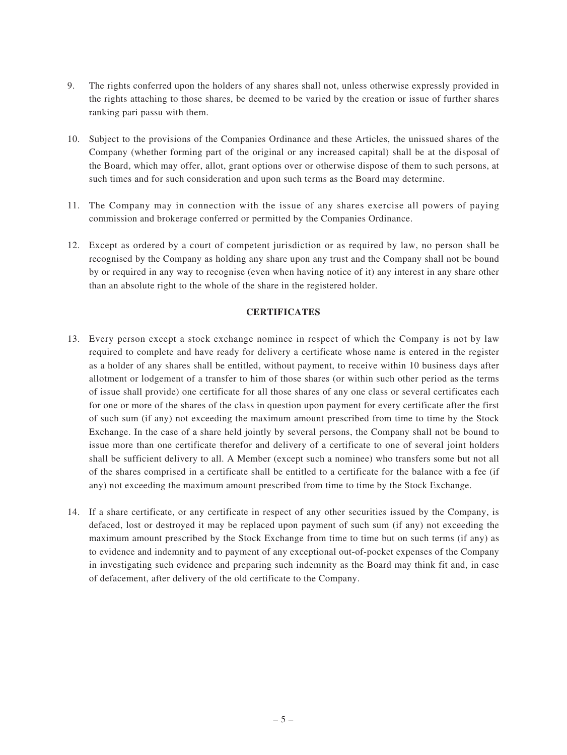- 9. The rights conferred upon the holders of any shares shall not, unless otherwise expressly provided in the rights attaching to those shares, be deemed to be varied by the creation or issue of further shares ranking pari passu with them.
- 10. Subject to the provisions of the Companies Ordinance and these Articles, the unissued shares of the Company (whether forming part of the original or any increased capital) shall be at the disposal of the Board, which may offer, allot, grant options over or otherwise dispose of them to such persons, at such times and for such consideration and upon such terms as the Board may determine.
- 11. The Company may in connection with the issue of any shares exercise all powers of paying commission and brokerage conferred or permitted by the Companies Ordinance.
- 12. Except as ordered by a court of competent jurisdiction or as required by law, no person shall be recognised by the Company as holding any share upon any trust and the Company shall not be bound by or required in any way to recognise (even when having notice of it) any interest in any share other than an absolute right to the whole of the share in the registered holder.

## **CERTIFICATES**

- 13. Every person except a stock exchange nominee in respect of which the Company is not by law required to complete and have ready for delivery a certificate whose name is entered in the register as a holder of any shares shall be entitled, without payment, to receive within 10 business days after allotment or lodgement of a transfer to him of those shares (or within such other period as the terms of issue shall provide) one certificate for all those shares of any one class or several certificates each for one or more of the shares of the class in question upon payment for every certificate after the first of such sum (if any) not exceeding the maximum amount prescribed from time to time by the Stock Exchange. In the case of a share held jointly by several persons, the Company shall not be bound to issue more than one certificate therefor and delivery of a certificate to one of several joint holders shall be sufficient delivery to all. A Member (except such a nominee) who transfers some but not all of the shares comprised in a certificate shall be entitled to a certificate for the balance with a fee (if any) not exceeding the maximum amount prescribed from time to time by the Stock Exchange.
- 14. If a share certificate, or any certificate in respect of any other securities issued by the Company, is defaced, lost or destroyed it may be replaced upon payment of such sum (if any) not exceeding the maximum amount prescribed by the Stock Exchange from time to time but on such terms (if any) as to evidence and indemnity and to payment of any exceptional out-of-pocket expenses of the Company in investigating such evidence and preparing such indemnity as the Board may think fit and, in case of defacement, after delivery of the old certificate to the Company.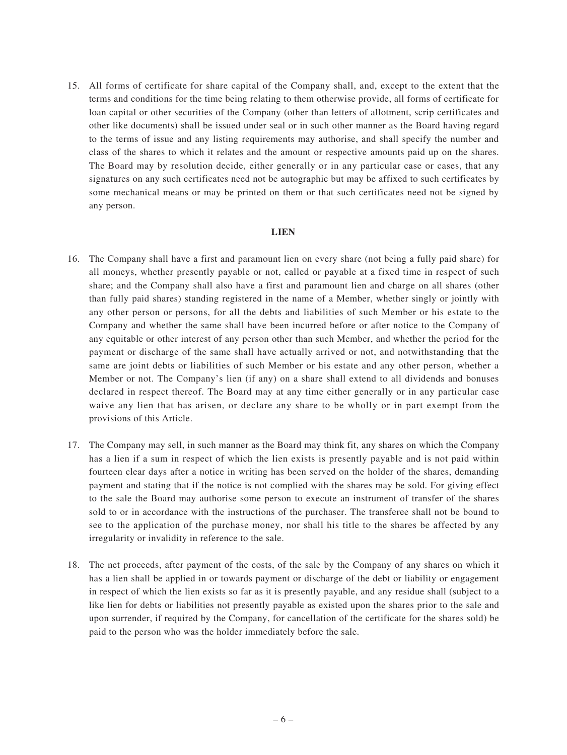15. All forms of certificate for share capital of the Company shall, and, except to the extent that the terms and conditions for the time being relating to them otherwise provide, all forms of certificate for loan capital or other securities of the Company (other than letters of allotment, scrip certificates and other like documents) shall be issued under seal or in such other manner as the Board having regard to the terms of issue and any listing requirements may authorise, and shall specify the number and class of the shares to which it relates and the amount or respective amounts paid up on the shares. The Board may by resolution decide, either generally or in any particular case or cases, that any signatures on any such certificates need not be autographic but may be affixed to such certificates by some mechanical means or may be printed on them or that such certificates need not be signed by any person.

#### **LIEN**

- 16. The Company shall have a first and paramount lien on every share (not being a fully paid share) for all moneys, whether presently payable or not, called or payable at a fixed time in respect of such share; and the Company shall also have a first and paramount lien and charge on all shares (other than fully paid shares) standing registered in the name of a Member, whether singly or jointly with any other person or persons, for all the debts and liabilities of such Member or his estate to the Company and whether the same shall have been incurred before or after notice to the Company of any equitable or other interest of any person other than such Member, and whether the period for the payment or discharge of the same shall have actually arrived or not, and notwithstanding that the same are joint debts or liabilities of such Member or his estate and any other person, whether a Member or not. The Company's lien (if any) on a share shall extend to all dividends and bonuses declared in respect thereof. The Board may at any time either generally or in any particular case waive any lien that has arisen, or declare any share to be wholly or in part exempt from the provisions of this Article.
- 17. The Company may sell, in such manner as the Board may think fit, any shares on which the Company has a lien if a sum in respect of which the lien exists is presently payable and is not paid within fourteen clear days after a notice in writing has been served on the holder of the shares, demanding payment and stating that if the notice is not complied with the shares may be sold. For giving effect to the sale the Board may authorise some person to execute an instrument of transfer of the shares sold to or in accordance with the instructions of the purchaser. The transferee shall not be bound to see to the application of the purchase money, nor shall his title to the shares be affected by any irregularity or invalidity in reference to the sale.
- 18. The net proceeds, after payment of the costs, of the sale by the Company of any shares on which it has a lien shall be applied in or towards payment or discharge of the debt or liability or engagement in respect of which the lien exists so far as it is presently payable, and any residue shall (subject to a like lien for debts or liabilities not presently payable as existed upon the shares prior to the sale and upon surrender, if required by the Company, for cancellation of the certificate for the shares sold) be paid to the person who was the holder immediately before the sale.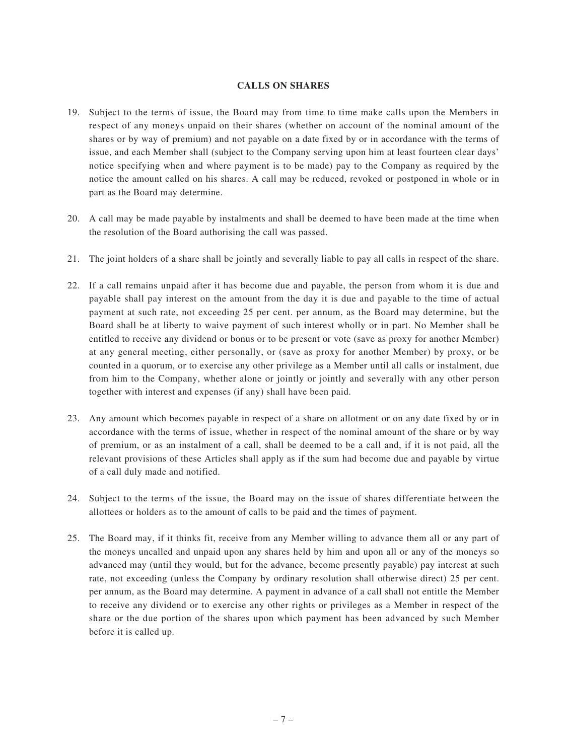## **CALLS ON SHARES**

- 19. Subject to the terms of issue, the Board may from time to time make calls upon the Members in respect of any moneys unpaid on their shares (whether on account of the nominal amount of the shares or by way of premium) and not payable on a date fixed by or in accordance with the terms of issue, and each Member shall (subject to the Company serving upon him at least fourteen clear days' notice specifying when and where payment is to be made) pay to the Company as required by the notice the amount called on his shares. A call may be reduced, revoked or postponed in whole or in part as the Board may determine.
- 20. A call may be made payable by instalments and shall be deemed to have been made at the time when the resolution of the Board authorising the call was passed.
- 21. The joint holders of a share shall be jointly and severally liable to pay all calls in respect of the share.
- 22. If a call remains unpaid after it has become due and payable, the person from whom it is due and payable shall pay interest on the amount from the day it is due and payable to the time of actual payment at such rate, not exceeding 25 per cent. per annum, as the Board may determine, but the Board shall be at liberty to waive payment of such interest wholly or in part. No Member shall be entitled to receive any dividend or bonus or to be present or vote (save as proxy for another Member) at any general meeting, either personally, or (save as proxy for another Member) by proxy, or be counted in a quorum, or to exercise any other privilege as a Member until all calls or instalment, due from him to the Company, whether alone or jointly or jointly and severally with any other person together with interest and expenses (if any) shall have been paid.
- 23. Any amount which becomes payable in respect of a share on allotment or on any date fixed by or in accordance with the terms of issue, whether in respect of the nominal amount of the share or by way of premium, or as an instalment of a call, shall be deemed to be a call and, if it is not paid, all the relevant provisions of these Articles shall apply as if the sum had become due and payable by virtue of a call duly made and notified.
- 24. Subject to the terms of the issue, the Board may on the issue of shares differentiate between the allottees or holders as to the amount of calls to be paid and the times of payment.
- 25. The Board may, if it thinks fit, receive from any Member willing to advance them all or any part of the moneys uncalled and unpaid upon any shares held by him and upon all or any of the moneys so advanced may (until they would, but for the advance, become presently payable) pay interest at such rate, not exceeding (unless the Company by ordinary resolution shall otherwise direct) 25 per cent. per annum, as the Board may determine. A payment in advance of a call shall not entitle the Member to receive any dividend or to exercise any other rights or privileges as a Member in respect of the share or the due portion of the shares upon which payment has been advanced by such Member before it is called up.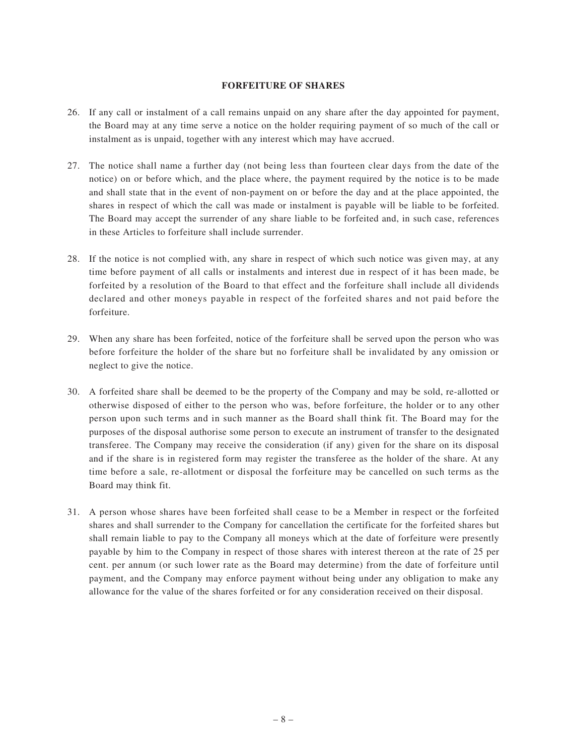## **FORFEITURE OF SHARES**

- 26. If any call or instalment of a call remains unpaid on any share after the day appointed for payment, the Board may at any time serve a notice on the holder requiring payment of so much of the call or instalment as is unpaid, together with any interest which may have accrued.
- 27. The notice shall name a further day (not being less than fourteen clear days from the date of the notice) on or before which, and the place where, the payment required by the notice is to be made and shall state that in the event of non-payment on or before the day and at the place appointed, the shares in respect of which the call was made or instalment is payable will be liable to be forfeited. The Board may accept the surrender of any share liable to be forfeited and, in such case, references in these Articles to forfeiture shall include surrender.
- 28. If the notice is not complied with, any share in respect of which such notice was given may, at any time before payment of all calls or instalments and interest due in respect of it has been made, be forfeited by a resolution of the Board to that effect and the forfeiture shall include all dividends declared and other moneys payable in respect of the forfeited shares and not paid before the forfeiture.
- 29. When any share has been forfeited, notice of the forfeiture shall be served upon the person who was before forfeiture the holder of the share but no forfeiture shall be invalidated by any omission or neglect to give the notice.
- 30. A forfeited share shall be deemed to be the property of the Company and may be sold, re-allotted or otherwise disposed of either to the person who was, before forfeiture, the holder or to any other person upon such terms and in such manner as the Board shall think fit. The Board may for the purposes of the disposal authorise some person to execute an instrument of transfer to the designated transferee. The Company may receive the consideration (if any) given for the share on its disposal and if the share is in registered form may register the transferee as the holder of the share. At any time before a sale, re-allotment or disposal the forfeiture may be cancelled on such terms as the Board may think fit.
- 31. A person whose shares have been forfeited shall cease to be a Member in respect or the forfeited shares and shall surrender to the Company for cancellation the certificate for the forfeited shares but shall remain liable to pay to the Company all moneys which at the date of forfeiture were presently payable by him to the Company in respect of those shares with interest thereon at the rate of 25 per cent. per annum (or such lower rate as the Board may determine) from the date of forfeiture until payment, and the Company may enforce payment without being under any obligation to make any allowance for the value of the shares forfeited or for any consideration received on their disposal.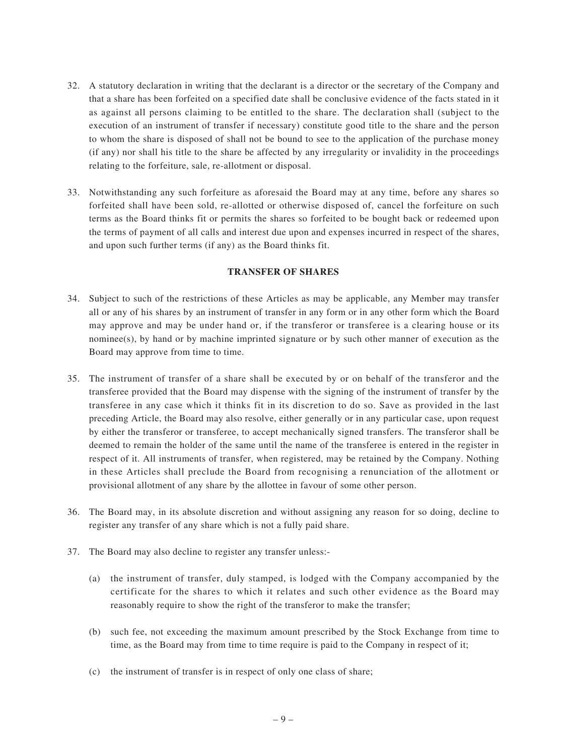- 32. A statutory declaration in writing that the declarant is a director or the secretary of the Company and that a share has been forfeited on a specified date shall be conclusive evidence of the facts stated in it as against all persons claiming to be entitled to the share. The declaration shall (subject to the execution of an instrument of transfer if necessary) constitute good title to the share and the person to whom the share is disposed of shall not be bound to see to the application of the purchase money (if any) nor shall his title to the share be affected by any irregularity or invalidity in the proceedings relating to the forfeiture, sale, re-allotment or disposal.
- 33. Notwithstanding any such forfeiture as aforesaid the Board may at any time, before any shares so forfeited shall have been sold, re-allotted or otherwise disposed of, cancel the forfeiture on such terms as the Board thinks fit or permits the shares so forfeited to be bought back or redeemed upon the terms of payment of all calls and interest due upon and expenses incurred in respect of the shares, and upon such further terms (if any) as the Board thinks fit.

## **TRANSFER OF SHARES**

- 34. Subject to such of the restrictions of these Articles as may be applicable, any Member may transfer all or any of his shares by an instrument of transfer in any form or in any other form which the Board may approve and may be under hand or, if the transferor or transferee is a clearing house or its nominee(s), by hand or by machine imprinted signature or by such other manner of execution as the Board may approve from time to time.
- 35. The instrument of transfer of a share shall be executed by or on behalf of the transferor and the transferee provided that the Board may dispense with the signing of the instrument of transfer by the transferee in any case which it thinks fit in its discretion to do so. Save as provided in the last preceding Article, the Board may also resolve, either generally or in any particular case, upon request by either the transferor or transferee, to accept mechanically signed transfers. The transferor shall be deemed to remain the holder of the same until the name of the transferee is entered in the register in respect of it. All instruments of transfer, when registered, may be retained by the Company. Nothing in these Articles shall preclude the Board from recognising a renunciation of the allotment or provisional allotment of any share by the allottee in favour of some other person.
- 36. The Board may, in its absolute discretion and without assigning any reason for so doing, decline to register any transfer of any share which is not a fully paid share.
- 37. The Board may also decline to register any transfer unless:-
	- (a) the instrument of transfer, duly stamped, is lodged with the Company accompanied by the certificate for the shares to which it relates and such other evidence as the Board may reasonably require to show the right of the transferor to make the transfer;
	- (b) such fee, not exceeding the maximum amount prescribed by the Stock Exchange from time to time, as the Board may from time to time require is paid to the Company in respect of it;
	- (c) the instrument of transfer is in respect of only one class of share;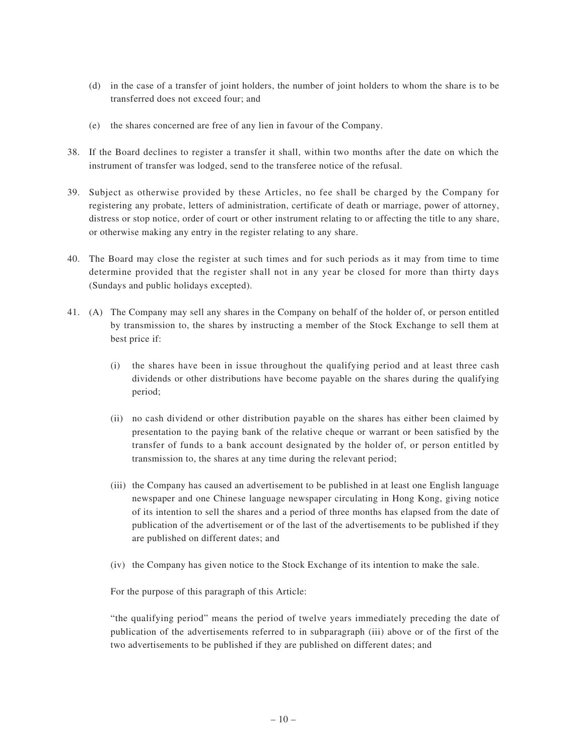- (d) in the case of a transfer of joint holders, the number of joint holders to whom the share is to be transferred does not exceed four; and
- (e) the shares concerned are free of any lien in favour of the Company.
- 38. If the Board declines to register a transfer it shall, within two months after the date on which the instrument of transfer was lodged, send to the transferee notice of the refusal.
- 39. Subject as otherwise provided by these Articles, no fee shall be charged by the Company for registering any probate, letters of administration, certificate of death or marriage, power of attorney, distress or stop notice, order of court or other instrument relating to or affecting the title to any share, or otherwise making any entry in the register relating to any share.
- 40. The Board may close the register at such times and for such periods as it may from time to time determine provided that the register shall not in any year be closed for more than thirty days (Sundays and public holidays excepted).
- 41. (A) The Company may sell any shares in the Company on behalf of the holder of, or person entitled by transmission to, the shares by instructing a member of the Stock Exchange to sell them at best price if:
	- (i) the shares have been in issue throughout the qualifying period and at least three cash dividends or other distributions have become payable on the shares during the qualifying period;
	- (ii) no cash dividend or other distribution payable on the shares has either been claimed by presentation to the paying bank of the relative cheque or warrant or been satisfied by the transfer of funds to a bank account designated by the holder of, or person entitled by transmission to, the shares at any time during the relevant period;
	- (iii) the Company has caused an advertisement to be published in at least one English language newspaper and one Chinese language newspaper circulating in Hong Kong, giving notice of its intention to sell the shares and a period of three months has elapsed from the date of publication of the advertisement or of the last of the advertisements to be published if they are published on different dates; and
	- (iv) the Company has given notice to the Stock Exchange of its intention to make the sale.

For the purpose of this paragraph of this Article:

"the qualifying period" means the period of twelve years immediately preceding the date of publication of the advertisements referred to in subparagraph (iii) above or of the first of the two advertisements to be published if they are published on different dates; and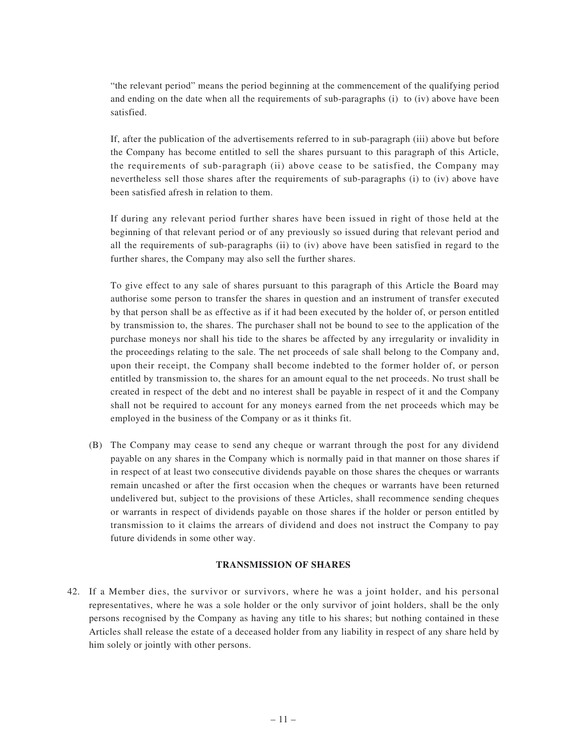"the relevant period" means the period beginning at the commencement of the qualifying period and ending on the date when all the requirements of sub-paragraphs (i) to (iv) above have been satisfied.

If, after the publication of the advertisements referred to in sub-paragraph (iii) above but before the Company has become entitled to sell the shares pursuant to this paragraph of this Article, the requirements of sub-paragraph (ii) above cease to be satisfied, the Company may nevertheless sell those shares after the requirements of sub-paragraphs (i) to (iv) above have been satisfied afresh in relation to them.

If during any relevant period further shares have been issued in right of those held at the beginning of that relevant period or of any previously so issued during that relevant period and all the requirements of sub-paragraphs (ii) to (iv) above have been satisfied in regard to the further shares, the Company may also sell the further shares.

To give effect to any sale of shares pursuant to this paragraph of this Article the Board may authorise some person to transfer the shares in question and an instrument of transfer executed by that person shall be as effective as if it had been executed by the holder of, or person entitled by transmission to, the shares. The purchaser shall not be bound to see to the application of the purchase moneys nor shall his tide to the shares be affected by any irregularity or invalidity in the proceedings relating to the sale. The net proceeds of sale shall belong to the Company and, upon their receipt, the Company shall become indebted to the former holder of, or person entitled by transmission to, the shares for an amount equal to the net proceeds. No trust shall be created in respect of the debt and no interest shall be payable in respect of it and the Company shall not be required to account for any moneys earned from the net proceeds which may be employed in the business of the Company or as it thinks fit.

(B) The Company may cease to send any cheque or warrant through the post for any dividend payable on any shares in the Company which is normally paid in that manner on those shares if in respect of at least two consecutive dividends payable on those shares the cheques or warrants remain uncashed or after the first occasion when the cheques or warrants have been returned undelivered but, subject to the provisions of these Articles, shall recommence sending cheques or warrants in respect of dividends payable on those shares if the holder or person entitled by transmission to it claims the arrears of dividend and does not instruct the Company to pay future dividends in some other way.

## **TRANSMISSION OF SHARES**

42. If a Member dies, the survivor or survivors, where he was a joint holder, and his personal representatives, where he was a sole holder or the only survivor of joint holders, shall be the only persons recognised by the Company as having any title to his shares; but nothing contained in these Articles shall release the estate of a deceased holder from any liability in respect of any share held by him solely or jointly with other persons.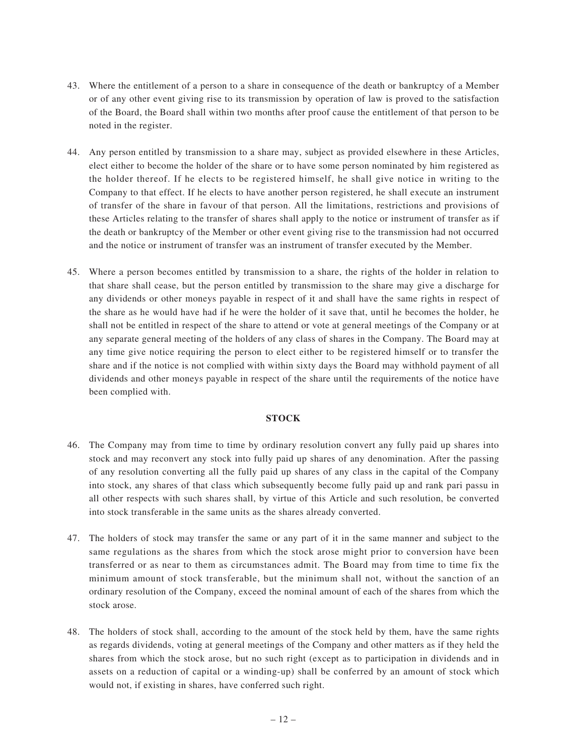- 43. Where the entitlement of a person to a share in consequence of the death or bankruptcy of a Member or of any other event giving rise to its transmission by operation of law is proved to the satisfaction of the Board, the Board shall within two months after proof cause the entitlement of that person to be noted in the register.
- 44. Any person entitled by transmission to a share may, subject as provided elsewhere in these Articles, elect either to become the holder of the share or to have some person nominated by him registered as the holder thereof. If he elects to be registered himself, he shall give notice in writing to the Company to that effect. If he elects to have another person registered, he shall execute an instrument of transfer of the share in favour of that person. All the limitations, restrictions and provisions of these Articles relating to the transfer of shares shall apply to the notice or instrument of transfer as if the death or bankruptcy of the Member or other event giving rise to the transmission had not occurred and the notice or instrument of transfer was an instrument of transfer executed by the Member.
- 45. Where a person becomes entitled by transmission to a share, the rights of the holder in relation to that share shall cease, but the person entitled by transmission to the share may give a discharge for any dividends or other moneys payable in respect of it and shall have the same rights in respect of the share as he would have had if he were the holder of it save that, until he becomes the holder, he shall not be entitled in respect of the share to attend or vote at general meetings of the Company or at any separate general meeting of the holders of any class of shares in the Company. The Board may at any time give notice requiring the person to elect either to be registered himself or to transfer the share and if the notice is not complied with within sixty days the Board may withhold payment of all dividends and other moneys payable in respect of the share until the requirements of the notice have been complied with.

## **STOCK**

- 46. The Company may from time to time by ordinary resolution convert any fully paid up shares into stock and may reconvert any stock into fully paid up shares of any denomination. After the passing of any resolution converting all the fully paid up shares of any class in the capital of the Company into stock, any shares of that class which subsequently become fully paid up and rank pari passu in all other respects with such shares shall, by virtue of this Article and such resolution, be converted into stock transferable in the same units as the shares already converted.
- 47. The holders of stock may transfer the same or any part of it in the same manner and subject to the same regulations as the shares from which the stock arose might prior to conversion have been transferred or as near to them as circumstances admit. The Board may from time to time fix the minimum amount of stock transferable, but the minimum shall not, without the sanction of an ordinary resolution of the Company, exceed the nominal amount of each of the shares from which the stock arose.
- 48. The holders of stock shall, according to the amount of the stock held by them, have the same rights as regards dividends, voting at general meetings of the Company and other matters as if they held the shares from which the stock arose, but no such right (except as to participation in dividends and in assets on a reduction of capital or a winding-up) shall be conferred by an amount of stock which would not, if existing in shares, have conferred such right.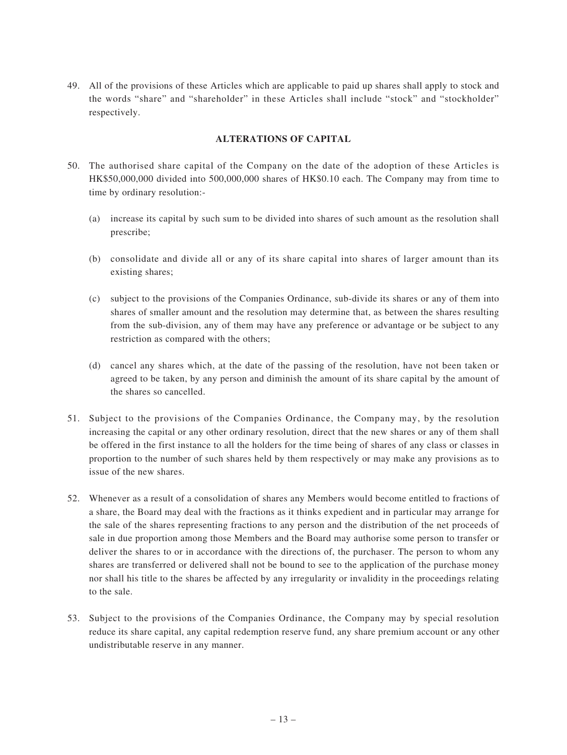49. All of the provisions of these Articles which are applicable to paid up shares shall apply to stock and the words "share" and "shareholder" in these Articles shall include "stock" and "stockholder" respectively.

## **ALTERATIONS OF CAPITAL**

- 50. The authorised share capital of the Company on the date of the adoption of these Articles is HK\$50,000,000 divided into 500,000,000 shares of HK\$0.10 each. The Company may from time to time by ordinary resolution:-
	- (a) increase its capital by such sum to be divided into shares of such amount as the resolution shall prescribe;
	- (b) consolidate and divide all or any of its share capital into shares of larger amount than its existing shares;
	- (c) subject to the provisions of the Companies Ordinance, sub-divide its shares or any of them into shares of smaller amount and the resolution may determine that, as between the shares resulting from the sub-division, any of them may have any preference or advantage or be subject to any restriction as compared with the others;
	- (d) cancel any shares which, at the date of the passing of the resolution, have not been taken or agreed to be taken, by any person and diminish the amount of its share capital by the amount of the shares so cancelled.
- 51. Subject to the provisions of the Companies Ordinance, the Company may, by the resolution increasing the capital or any other ordinary resolution, direct that the new shares or any of them shall be offered in the first instance to all the holders for the time being of shares of any class or classes in proportion to the number of such shares held by them respectively or may make any provisions as to issue of the new shares.
- 52. Whenever as a result of a consolidation of shares any Members would become entitled to fractions of a share, the Board may deal with the fractions as it thinks expedient and in particular may arrange for the sale of the shares representing fractions to any person and the distribution of the net proceeds of sale in due proportion among those Members and the Board may authorise some person to transfer or deliver the shares to or in accordance with the directions of, the purchaser. The person to whom any shares are transferred or delivered shall not be bound to see to the application of the purchase money nor shall his title to the shares be affected by any irregularity or invalidity in the proceedings relating to the sale.
- 53. Subject to the provisions of the Companies Ordinance, the Company may by special resolution reduce its share capital, any capital redemption reserve fund, any share premium account or any other undistributable reserve in any manner.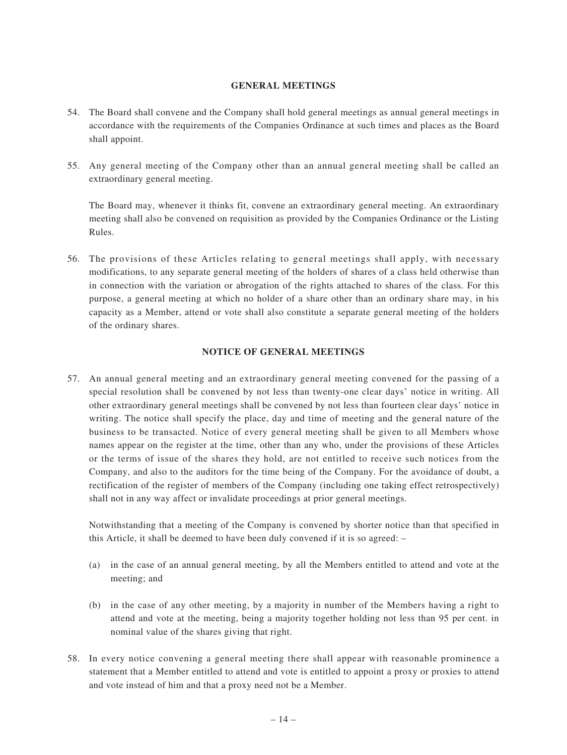## **GENERAL MEETINGS**

- 54. The Board shall convene and the Company shall hold general meetings as annual general meetings in accordance with the requirements of the Companies Ordinance at such times and places as the Board shall appoint.
- 55. Any general meeting of the Company other than an annual general meeting shall be called an extraordinary general meeting.

The Board may, whenever it thinks fit, convene an extraordinary general meeting. An extraordinary meeting shall also be convened on requisition as provided by the Companies Ordinance or the Listing Rules.

56. The provisions of these Articles relating to general meetings shall apply, with necessary modifications, to any separate general meeting of the holders of shares of a class held otherwise than in connection with the variation or abrogation of the rights attached to shares of the class. For this purpose, a general meeting at which no holder of a share other than an ordinary share may, in his capacity as a Member, attend or vote shall also constitute a separate general meeting of the holders of the ordinary shares.

## **NOTICE OF GENERAL MEETINGS**

57. An annual general meeting and an extraordinary general meeting convened for the passing of a special resolution shall be convened by not less than twenty-one clear days' notice in writing. All other extraordinary general meetings shall be convened by not less than fourteen clear days' notice in writing. The notice shall specify the place, day and time of meeting and the general nature of the business to be transacted. Notice of every general meeting shall be given to all Members whose names appear on the register at the time, other than any who, under the provisions of these Articles or the terms of issue of the shares they hold, are not entitled to receive such notices from the Company, and also to the auditors for the time being of the Company. For the avoidance of doubt, a rectification of the register of members of the Company (including one taking effect retrospectively) shall not in any way affect or invalidate proceedings at prior general meetings.

Notwithstanding that a meeting of the Company is convened by shorter notice than that specified in this Article, it shall be deemed to have been duly convened if it is so agreed: –

- (a) in the case of an annual general meeting, by all the Members entitled to attend and vote at the meeting; and
- (b) in the case of any other meeting, by a majority in number of the Members having a right to attend and vote at the meeting, being a majority together holding not less than 95 per cent. in nominal value of the shares giving that right.
- 58. In every notice convening a general meeting there shall appear with reasonable prominence a statement that a Member entitled to attend and vote is entitled to appoint a proxy or proxies to attend and vote instead of him and that a proxy need not be a Member.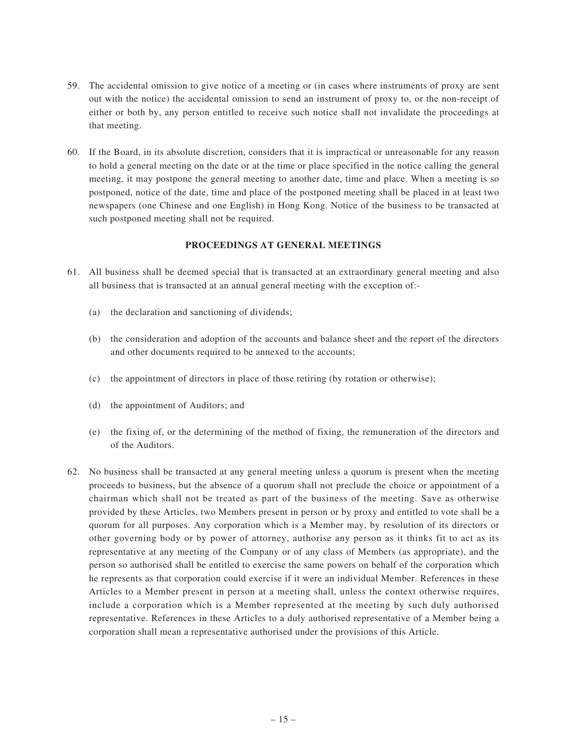- 59. The accidental omission to give notice of a meeting or (in cases where instruments of proxy are sent out with the notice) the accidental omission to send an instrument of proxy to, or the non-receipt of either or both by, any person entitled to receive such notice shall not invalidate the proceedings at that meeting.
- 60. If the Board, in its absolute discretion, considers that it is impractical or unreasonable for any reason to hold a general meeting on the date or at the time or place specified in the notice calling the general meeting, it may postpone the general meeting to another date, time and place. When a meeting is so postponed, notice of the date, time and place of the postponed meeting shall be placed in at least two newspapers (one Chinese and one English) in Hong Kong. Notice of the business to be transacted at such postponed meeting shall not be required.

## **PROCEEDINGS AT GENERAL MEETINGS**

- 61. All business shall be deemed special that is transacted at an extraordinary general meeting and also all business that is transacted at an annual general meeting with the exception of:-
	- (a) the declaration and sanctioning of dividends;
	- (b) the consideration and adoption of the accounts and balance sheet and the report of the directors and other documents required to be annexed to the accounts;
	- (c) the appointment of directors in place of those retiring (by rotation or otherwise);
	- (d) the appointment of Auditors; and
	- (e) the fixing of, or the determining of the method of fixing, the remuneration of the directors and of the Auditors.
- 62. No business shall be transacted at any general meeting unless a quorum is present when the meeting proceeds to business, but the absence of a quorum shall not preclude the choice or appointment of a chairman which shall not be treated as part of the business of the meeting. Save as otherwise provided by these Articles, two Members present in person or by proxy and entitled to vote shall be a quorum for all purposes. Any corporation which is a Member may, by resolution of its directors or other governing body or by power of attorney, authorise any person as it thinks fit to act as its representative at any meeting of the Company or of any class of Members (as appropriate), and the person so authorised shall be entitled to exercise the same powers on behalf of the corporation which he represents as that corporation could exercise if it were an individual Member. References in these Articles to a Member present in person at a meeting shall, unless the context otherwise requires, include a corporation which is a Member represented at the meeting by such duly authorised representative. References in these Articles to a duly authorised representative of a Member being a corporation shall mean a representative authorised under the provisions of this Article.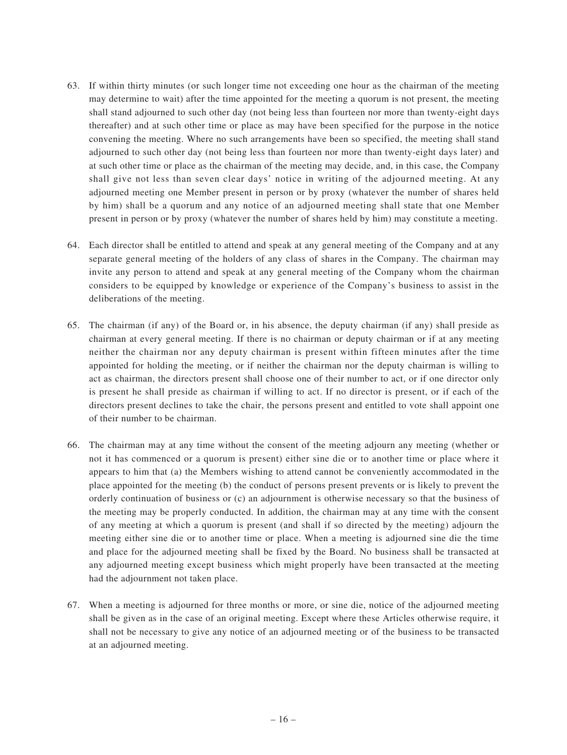- 63. If within thirty minutes (or such longer time not exceeding one hour as the chairman of the meeting may determine to wait) after the time appointed for the meeting a quorum is not present, the meeting shall stand adjourned to such other day (not being less than fourteen nor more than twenty-eight days thereafter) and at such other time or place as may have been specified for the purpose in the notice convening the meeting. Where no such arrangements have been so specified, the meeting shall stand adjourned to such other day (not being less than fourteen nor more than twenty-eight days later) and at such other time or place as the chairman of the meeting may decide, and, in this case, the Company shall give not less than seven clear days' notice in writing of the adjourned meeting. At any adjourned meeting one Member present in person or by proxy (whatever the number of shares held by him) shall be a quorum and any notice of an adjourned meeting shall state that one Member present in person or by proxy (whatever the number of shares held by him) may constitute a meeting.
- 64. Each director shall be entitled to attend and speak at any general meeting of the Company and at any separate general meeting of the holders of any class of shares in the Company. The chairman may invite any person to attend and speak at any general meeting of the Company whom the chairman considers to be equipped by knowledge or experience of the Company's business to assist in the deliberations of the meeting.
- 65. The chairman (if any) of the Board or, in his absence, the deputy chairman (if any) shall preside as chairman at every general meeting. If there is no chairman or deputy chairman or if at any meeting neither the chairman nor any deputy chairman is present within fifteen minutes after the time appointed for holding the meeting, or if neither the chairman nor the deputy chairman is willing to act as chairman, the directors present shall choose one of their number to act, or if one director only is present he shall preside as chairman if willing to act. If no director is present, or if each of the directors present declines to take the chair, the persons present and entitled to vote shall appoint one of their number to be chairman.
- 66. The chairman may at any time without the consent of the meeting adjourn any meeting (whether or not it has commenced or a quorum is present) either sine die or to another time or place where it appears to him that (a) the Members wishing to attend cannot be conveniently accommodated in the place appointed for the meeting (b) the conduct of persons present prevents or is likely to prevent the orderly continuation of business or (c) an adjournment is otherwise necessary so that the business of the meeting may be properly conducted. In addition, the chairman may at any time with the consent of any meeting at which a quorum is present (and shall if so directed by the meeting) adjourn the meeting either sine die or to another time or place. When a meeting is adjourned sine die the time and place for the adjourned meeting shall be fixed by the Board. No business shall be transacted at any adjourned meeting except business which might properly have been transacted at the meeting had the adjournment not taken place.
- 67. When a meeting is adjourned for three months or more, or sine die, notice of the adjourned meeting shall be given as in the case of an original meeting. Except where these Articles otherwise require, it shall not be necessary to give any notice of an adjourned meeting or of the business to be transacted at an adjourned meeting.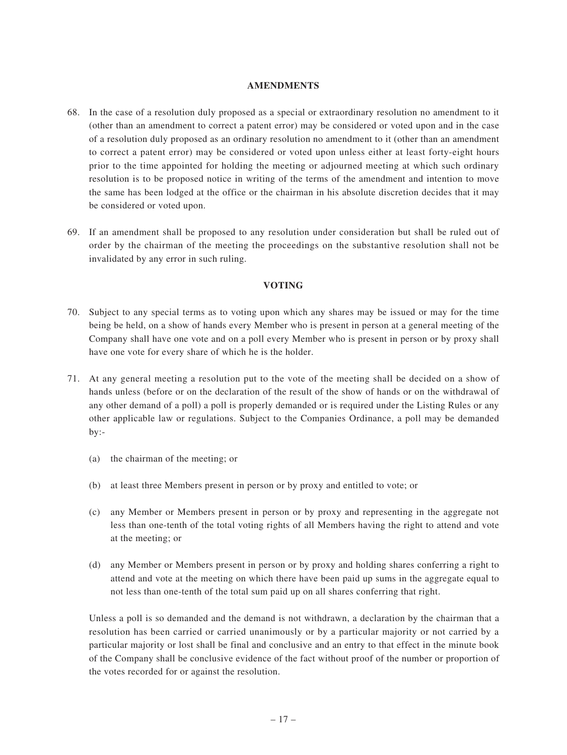#### **AMENDMENTS**

- 68. In the case of a resolution duly proposed as a special or extraordinary resolution no amendment to it (other than an amendment to correct a patent error) may be considered or voted upon and in the case of a resolution duly proposed as an ordinary resolution no amendment to it (other than an amendment to correct a patent error) may be considered or voted upon unless either at least forty-eight hours prior to the time appointed for holding the meeting or adjourned meeting at which such ordinary resolution is to be proposed notice in writing of the terms of the amendment and intention to move the same has been lodged at the office or the chairman in his absolute discretion decides that it may be considered or voted upon.
- 69. If an amendment shall be proposed to any resolution under consideration but shall be ruled out of order by the chairman of the meeting the proceedings on the substantive resolution shall not be invalidated by any error in such ruling.

## **VOTING**

- 70. Subject to any special terms as to voting upon which any shares may be issued or may for the time being be held, on a show of hands every Member who is present in person at a general meeting of the Company shall have one vote and on a poll every Member who is present in person or by proxy shall have one vote for every share of which he is the holder.
- 71. At any general meeting a resolution put to the vote of the meeting shall be decided on a show of hands unless (before or on the declaration of the result of the show of hands or on the withdrawal of any other demand of a poll) a poll is properly demanded or is required under the Listing Rules or any other applicable law or regulations. Subject to the Companies Ordinance, a poll may be demanded by:-
	- (a) the chairman of the meeting; or
	- (b) at least three Members present in person or by proxy and entitled to vote; or
	- (c) any Member or Members present in person or by proxy and representing in the aggregate not less than one-tenth of the total voting rights of all Members having the right to attend and vote at the meeting; or
	- (d) any Member or Members present in person or by proxy and holding shares conferring a right to attend and vote at the meeting on which there have been paid up sums in the aggregate equal to not less than one-tenth of the total sum paid up on all shares conferring that right.

Unless a poll is so demanded and the demand is not withdrawn, a declaration by the chairman that a resolution has been carried or carried unanimously or by a particular majority or not carried by a particular majority or lost shall be final and conclusive and an entry to that effect in the minute book of the Company shall be conclusive evidence of the fact without proof of the number or proportion of the votes recorded for or against the resolution.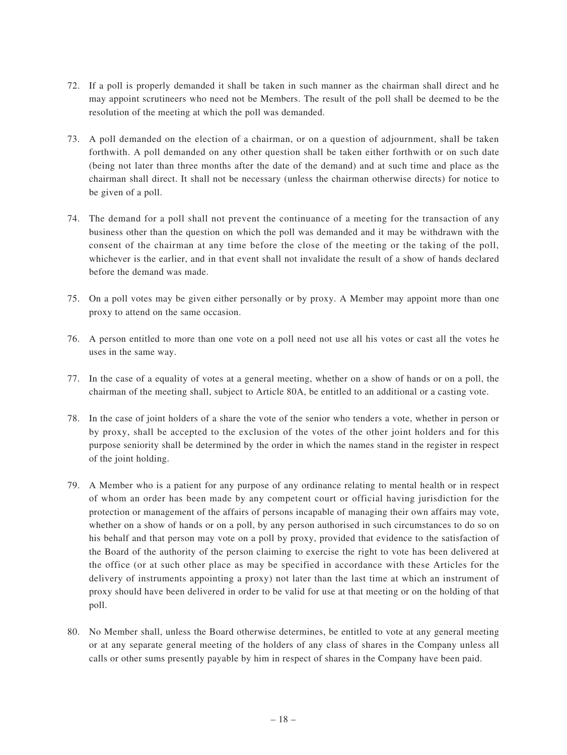- 72. If a poll is properly demanded it shall be taken in such manner as the chairman shall direct and he may appoint scrutineers who need not be Members. The result of the poll shall be deemed to be the resolution of the meeting at which the poll was demanded.
- 73. A poll demanded on the election of a chairman, or on a question of adjournment, shall be taken forthwith. A poll demanded on any other question shall be taken either forthwith or on such date (being not later than three months after the date of the demand) and at such time and place as the chairman shall direct. It shall not be necessary (unless the chairman otherwise directs) for notice to be given of a poll.
- 74. The demand for a poll shall not prevent the continuance of a meeting for the transaction of any business other than the question on which the poll was demanded and it may be withdrawn with the consent of the chairman at any time before the close of the meeting or the taking of the poll, whichever is the earlier, and in that event shall not invalidate the result of a show of hands declared before the demand was made.
- 75. On a poll votes may be given either personally or by proxy. A Member may appoint more than one proxy to attend on the same occasion.
- 76. A person entitled to more than one vote on a poll need not use all his votes or cast all the votes he uses in the same way.
- 77. In the case of a equality of votes at a general meeting, whether on a show of hands or on a poll, the chairman of the meeting shall, subject to Article 80A, be entitled to an additional or a casting vote.
- 78. In the case of joint holders of a share the vote of the senior who tenders a vote, whether in person or by proxy, shall be accepted to the exclusion of the votes of the other joint holders and for this purpose seniority shall be determined by the order in which the names stand in the register in respect of the joint holding.
- 79. A Member who is a patient for any purpose of any ordinance relating to mental health or in respect of whom an order has been made by any competent court or official having jurisdiction for the protection or management of the affairs of persons incapable of managing their own affairs may vote, whether on a show of hands or on a poll, by any person authorised in such circumstances to do so on his behalf and that person may vote on a poll by proxy, provided that evidence to the satisfaction of the Board of the authority of the person claiming to exercise the right to vote has been delivered at the office (or at such other place as may be specified in accordance with these Articles for the delivery of instruments appointing a proxy) not later than the last time at which an instrument of proxy should have been delivered in order to be valid for use at that meeting or on the holding of that poll.
- 80. No Member shall, unless the Board otherwise determines, be entitled to vote at any general meeting or at any separate general meeting of the holders of any class of shares in the Company unless all calls or other sums presently payable by him in respect of shares in the Company have been paid.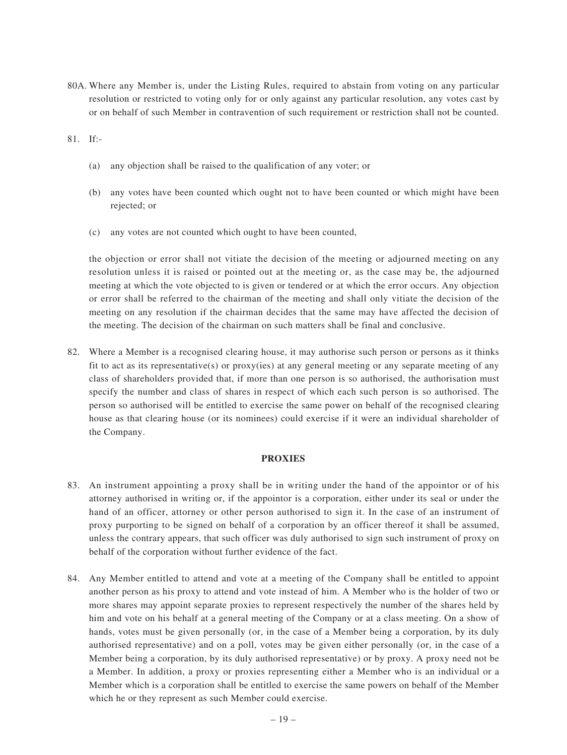80A. Where any Member is, under the Listing Rules, required to abstain from voting on any particular resolution or restricted to voting only for or only against any particular resolution, any votes cast by or on behalf of such Member in contravention of such requirement or restriction shall not be counted.

81. If:-

- (a) any objection shall be raised to the qualification of any voter; or
- (b) any votes have been counted which ought not to have been counted or which might have been rejected; or
- (c) any votes are not counted which ought to have been counted,

the objection or error shall not vitiate the decision of the meeting or adjourned meeting on any resolution unless it is raised or pointed out at the meeting or, as the case may be, the adjourned meeting at which the vote objected to is given or tendered or at which the error occurs. Any objection or error shall be referred to the chairman of the meeting and shall only vitiate the decision of the meeting on any resolution if the chairman decides that the same may have affected the decision of the meeting. The decision of the chairman on such matters shall be final and conclusive.

82. Where a Member is a recognised clearing house, it may authorise such person or persons as it thinks fit to act as its representative(s) or proxy(ies) at any general meeting or any separate meeting of any class of shareholders provided that, if more than one person is so authorised, the authorisation must specify the number and class of shares in respect of which each such person is so authorised. The person so authorised will be entitled to exercise the same power on behalf of the recognised clearing house as that clearing house (or its nominees) could exercise if it were an individual shareholder of the Company.

## **PROXIES**

- 83. An instrument appointing a proxy shall be in writing under the hand of the appointor or of his attorney authorised in writing or, if the appointor is a corporation, either under its seal or under the hand of an officer, attorney or other person authorised to sign it. In the case of an instrument of proxy purporting to be signed on behalf of a corporation by an officer thereof it shall be assumed, unless the contrary appears, that such officer was duly authorised to sign such instrument of proxy on behalf of the corporation without further evidence of the fact.
- 84. Any Member entitled to attend and vote at a meeting of the Company shall be entitled to appoint another person as his proxy to attend and vote instead of him. A Member who is the holder of two or more shares may appoint separate proxies to represent respectively the number of the shares held by him and vote on his behalf at a general meeting of the Company or at a class meeting. On a show of hands, votes must be given personally (or, in the case of a Member being a corporation, by its duly authorised representative) and on a poll, votes may be given either personally (or, in the case of a Member being a corporation, by its duly authorised representative) or by proxy. A proxy need not be a Member. In addition, a proxy or proxies representing either a Member who is an individual or a Member which is a corporation shall be entitled to exercise the same powers on behalf of the Member which he or they represent as such Member could exercise.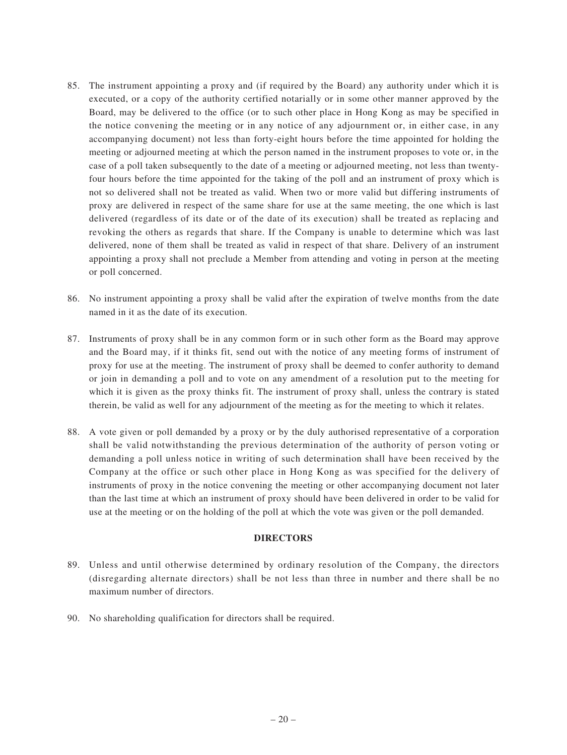- 85. The instrument appointing a proxy and (if required by the Board) any authority under which it is executed, or a copy of the authority certified notarially or in some other manner approved by the Board, may be delivered to the office (or to such other place in Hong Kong as may be specified in the notice convening the meeting or in any notice of any adjournment or, in either case, in any accompanying document) not less than forty-eight hours before the time appointed for holding the meeting or adjourned meeting at which the person named in the instrument proposes to vote or, in the case of a poll taken subsequently to the date of a meeting or adjourned meeting, not less than twentyfour hours before the time appointed for the taking of the poll and an instrument of proxy which is not so delivered shall not be treated as valid. When two or more valid but differing instruments of proxy are delivered in respect of the same share for use at the same meeting, the one which is last delivered (regardless of its date or of the date of its execution) shall be treated as replacing and revoking the others as regards that share. If the Company is unable to determine which was last delivered, none of them shall be treated as valid in respect of that share. Delivery of an instrument appointing a proxy shall not preclude a Member from attending and voting in person at the meeting or poll concerned.
- 86. No instrument appointing a proxy shall be valid after the expiration of twelve months from the date named in it as the date of its execution.
- 87. Instruments of proxy shall be in any common form or in such other form as the Board may approve and the Board may, if it thinks fit, send out with the notice of any meeting forms of instrument of proxy for use at the meeting. The instrument of proxy shall be deemed to confer authority to demand or join in demanding a poll and to vote on any amendment of a resolution put to the meeting for which it is given as the proxy thinks fit. The instrument of proxy shall, unless the contrary is stated therein, be valid as well for any adjournment of the meeting as for the meeting to which it relates.
- 88. A vote given or poll demanded by a proxy or by the duly authorised representative of a corporation shall be valid notwithstanding the previous determination of the authority of person voting or demanding a poll unless notice in writing of such determination shall have been received by the Company at the office or such other place in Hong Kong as was specified for the delivery of instruments of proxy in the notice convening the meeting or other accompanying document not later than the last time at which an instrument of proxy should have been delivered in order to be valid for use at the meeting or on the holding of the poll at which the vote was given or the poll demanded.

#### **DIRECTORS**

- 89. Unless and until otherwise determined by ordinary resolution of the Company, the directors (disregarding alternate directors) shall be not less than three in number and there shall be no maximum number of directors.
- 90. No shareholding qualification for directors shall be required.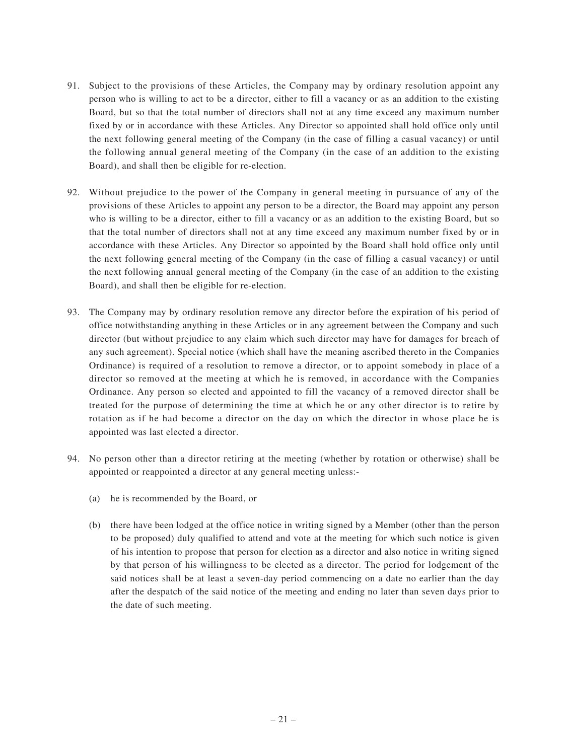- 91. Subject to the provisions of these Articles, the Company may by ordinary resolution appoint any person who is willing to act to be a director, either to fill a vacancy or as an addition to the existing Board, but so that the total number of directors shall not at any time exceed any maximum number fixed by or in accordance with these Articles. Any Director so appointed shall hold office only until the next following general meeting of the Company (in the case of filling a casual vacancy) or until the following annual general meeting of the Company (in the case of an addition to the existing Board), and shall then be eligible for re-election.
- 92. Without prejudice to the power of the Company in general meeting in pursuance of any of the provisions of these Articles to appoint any person to be a director, the Board may appoint any person who is willing to be a director, either to fill a vacancy or as an addition to the existing Board, but so that the total number of directors shall not at any time exceed any maximum number fixed by or in accordance with these Articles. Any Director so appointed by the Board shall hold office only until the next following general meeting of the Company (in the case of filling a casual vacancy) or until the next following annual general meeting of the Company (in the case of an addition to the existing Board), and shall then be eligible for re-election.
- 93. The Company may by ordinary resolution remove any director before the expiration of his period of office notwithstanding anything in these Articles or in any agreement between the Company and such director (but without prejudice to any claim which such director may have for damages for breach of any such agreement). Special notice (which shall have the meaning ascribed thereto in the Companies Ordinance) is required of a resolution to remove a director, or to appoint somebody in place of a director so removed at the meeting at which he is removed, in accordance with the Companies Ordinance. Any person so elected and appointed to fill the vacancy of a removed director shall be treated for the purpose of determining the time at which he or any other director is to retire by rotation as if he had become a director on the day on which the director in whose place he is appointed was last elected a director.
- 94. No person other than a director retiring at the meeting (whether by rotation or otherwise) shall be appointed or reappointed a director at any general meeting unless:-
	- (a) he is recommended by the Board, or
	- (b) there have been lodged at the office notice in writing signed by a Member (other than the person to be proposed) duly qualified to attend and vote at the meeting for which such notice is given of his intention to propose that person for election as a director and also notice in writing signed by that person of his willingness to be elected as a director. The period for lodgement of the said notices shall be at least a seven-day period commencing on a date no earlier than the day after the despatch of the said notice of the meeting and ending no later than seven days prior to the date of such meeting.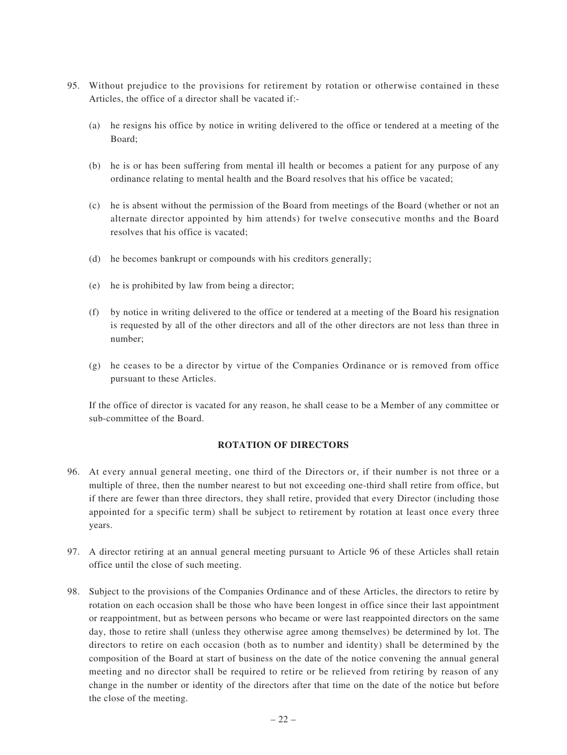- 95. Without prejudice to the provisions for retirement by rotation or otherwise contained in these Articles, the office of a director shall be vacated if:-
	- (a) he resigns his office by notice in writing delivered to the office or tendered at a meeting of the Board;
	- (b) he is or has been suffering from mental ill health or becomes a patient for any purpose of any ordinance relating to mental health and the Board resolves that his office be vacated;
	- (c) he is absent without the permission of the Board from meetings of the Board (whether or not an alternate director appointed by him attends) for twelve consecutive months and the Board resolves that his office is vacated;
	- (d) he becomes bankrupt or compounds with his creditors generally;
	- (e) he is prohibited by law from being a director;
	- (f) by notice in writing delivered to the office or tendered at a meeting of the Board his resignation is requested by all of the other directors and all of the other directors are not less than three in number;
	- (g) he ceases to be a director by virtue of the Companies Ordinance or is removed from office pursuant to these Articles.

If the office of director is vacated for any reason, he shall cease to be a Member of any committee or sub-committee of the Board.

#### **ROTATION OF DIRECTORS**

- 96. At every annual general meeting, one third of the Directors or, if their number is not three or a multiple of three, then the number nearest to but not exceeding one-third shall retire from office, but if there are fewer than three directors, they shall retire, provided that every Director (including those appointed for a specific term) shall be subject to retirement by rotation at least once every three years.
- 97. A director retiring at an annual general meeting pursuant to Article 96 of these Articles shall retain office until the close of such meeting.
- 98. Subject to the provisions of the Companies Ordinance and of these Articles, the directors to retire by rotation on each occasion shall be those who have been longest in office since their last appointment or reappointment, but as between persons who became or were last reappointed directors on the same day, those to retire shall (unless they otherwise agree among themselves) be determined by lot. The directors to retire on each occasion (both as to number and identity) shall be determined by the composition of the Board at start of business on the date of the notice convening the annual general meeting and no director shall be required to retire or be relieved from retiring by reason of any change in the number or identity of the directors after that time on the date of the notice but before the close of the meeting.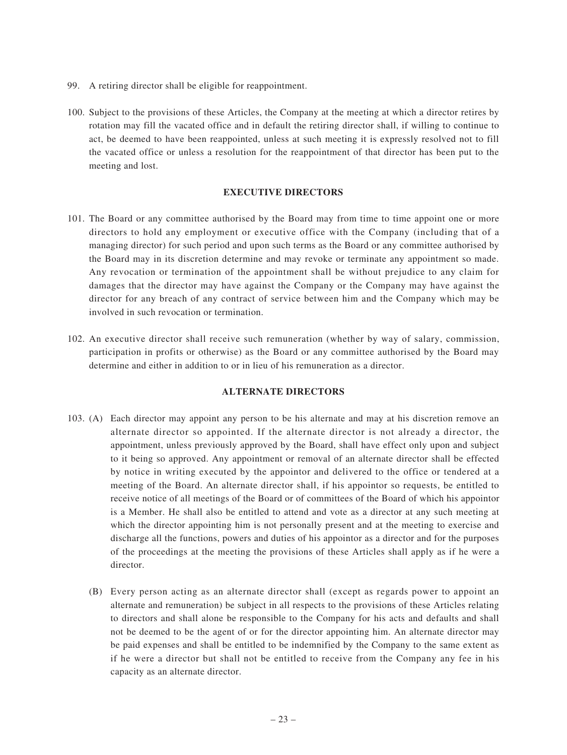- 99. A retiring director shall be eligible for reappointment.
- 100. Subject to the provisions of these Articles, the Company at the meeting at which a director retires by rotation may fill the vacated office and in default the retiring director shall, if willing to continue to act, be deemed to have been reappointed, unless at such meeting it is expressly resolved not to fill the vacated office or unless a resolution for the reappointment of that director has been put to the meeting and lost.

## **EXECUTIVE DIRECTORS**

- 101. The Board or any committee authorised by the Board may from time to time appoint one or more directors to hold any employment or executive office with the Company (including that of a managing director) for such period and upon such terms as the Board or any committee authorised by the Board may in its discretion determine and may revoke or terminate any appointment so made. Any revocation or termination of the appointment shall be without prejudice to any claim for damages that the director may have against the Company or the Company may have against the director for any breach of any contract of service between him and the Company which may be involved in such revocation or termination.
- 102. An executive director shall receive such remuneration (whether by way of salary, commission, participation in profits or otherwise) as the Board or any committee authorised by the Board may determine and either in addition to or in lieu of his remuneration as a director.

## **ALTERNATE DIRECTORS**

- 103. (A) Each director may appoint any person to be his alternate and may at his discretion remove an alternate director so appointed. If the alternate director is not already a director, the appointment, unless previously approved by the Board, shall have effect only upon and subject to it being so approved. Any appointment or removal of an alternate director shall be effected by notice in writing executed by the appointor and delivered to the office or tendered at a meeting of the Board. An alternate director shall, if his appointor so requests, be entitled to receive notice of all meetings of the Board or of committees of the Board of which his appointor is a Member. He shall also be entitled to attend and vote as a director at any such meeting at which the director appointing him is not personally present and at the meeting to exercise and discharge all the functions, powers and duties of his appointor as a director and for the purposes of the proceedings at the meeting the provisions of these Articles shall apply as if he were a director.
	- (B) Every person acting as an alternate director shall (except as regards power to appoint an alternate and remuneration) be subject in all respects to the provisions of these Articles relating to directors and shall alone be responsible to the Company for his acts and defaults and shall not be deemed to be the agent of or for the director appointing him. An alternate director may be paid expenses and shall be entitled to be indemnified by the Company to the same extent as if he were a director but shall not be entitled to receive from the Company any fee in his capacity as an alternate director.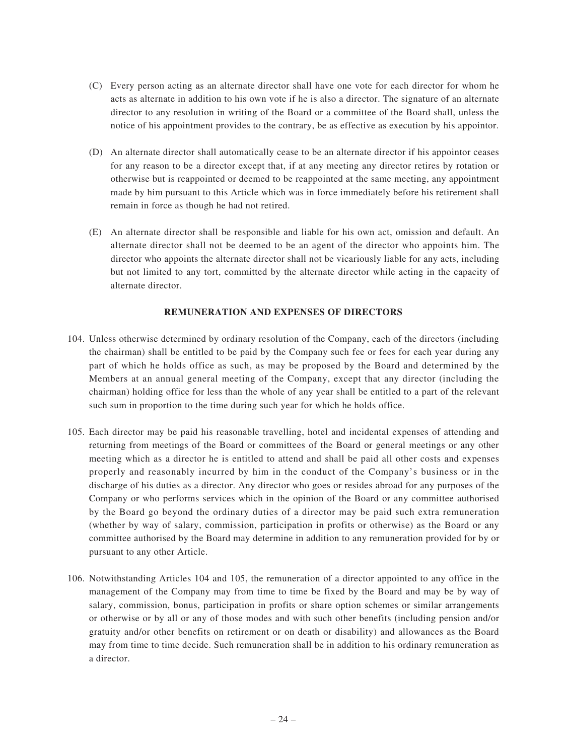- (C) Every person acting as an alternate director shall have one vote for each director for whom he acts as alternate in addition to his own vote if he is also a director. The signature of an alternate director to any resolution in writing of the Board or a committee of the Board shall, unless the notice of his appointment provides to the contrary, be as effective as execution by his appointor.
- (D) An alternate director shall automatically cease to be an alternate director if his appointor ceases for any reason to be a director except that, if at any meeting any director retires by rotation or otherwise but is reappointed or deemed to be reappointed at the same meeting, any appointment made by him pursuant to this Article which was in force immediately before his retirement shall remain in force as though he had not retired.
- (E) An alternate director shall be responsible and liable for his own act, omission and default. An alternate director shall not be deemed to be an agent of the director who appoints him. The director who appoints the alternate director shall not be vicariously liable for any acts, including but not limited to any tort, committed by the alternate director while acting in the capacity of alternate director.

#### **REMUNERATION AND EXPENSES OF DIRECTORS**

- 104. Unless otherwise determined by ordinary resolution of the Company, each of the directors (including the chairman) shall be entitled to be paid by the Company such fee or fees for each year during any part of which he holds office as such, as may be proposed by the Board and determined by the Members at an annual general meeting of the Company, except that any director (including the chairman) holding office for less than the whole of any year shall be entitled to a part of the relevant such sum in proportion to the time during such year for which he holds office.
- 105. Each director may be paid his reasonable travelling, hotel and incidental expenses of attending and returning from meetings of the Board or committees of the Board or general meetings or any other meeting which as a director he is entitled to attend and shall be paid all other costs and expenses properly and reasonably incurred by him in the conduct of the Company's business or in the discharge of his duties as a director. Any director who goes or resides abroad for any purposes of the Company or who performs services which in the opinion of the Board or any committee authorised by the Board go beyond the ordinary duties of a director may be paid such extra remuneration (whether by way of salary, commission, participation in profits or otherwise) as the Board or any committee authorised by the Board may determine in addition to any remuneration provided for by or pursuant to any other Article.
- 106. Notwithstanding Articles 104 and 105, the remuneration of a director appointed to any office in the management of the Company may from time to time be fixed by the Board and may be by way of salary, commission, bonus, participation in profits or share option schemes or similar arrangements or otherwise or by all or any of those modes and with such other benefits (including pension and/or gratuity and/or other benefits on retirement or on death or disability) and allowances as the Board may from time to time decide. Such remuneration shall be in addition to his ordinary remuneration as a director.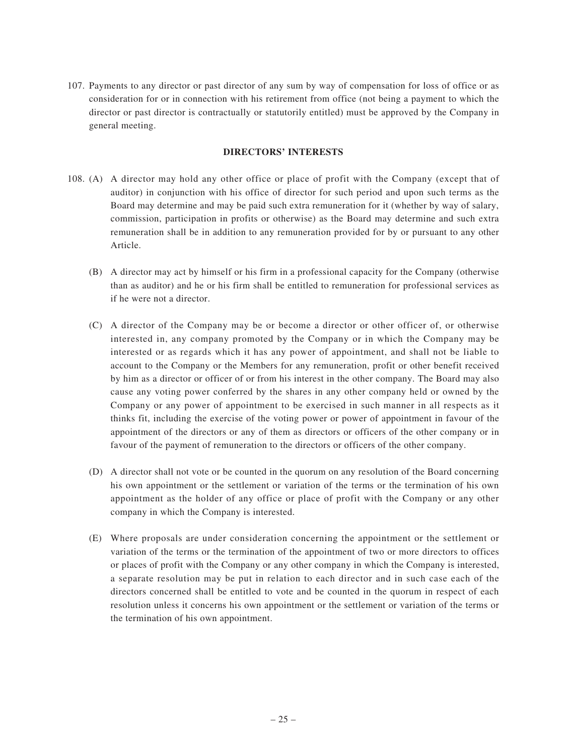107. Payments to any director or past director of any sum by way of compensation for loss of office or as consideration for or in connection with his retirement from office (not being a payment to which the director or past director is contractually or statutorily entitled) must be approved by the Company in general meeting.

## **DIRECTORS' INTERESTS**

- 108. (A) A director may hold any other office or place of profit with the Company (except that of auditor) in conjunction with his office of director for such period and upon such terms as the Board may determine and may be paid such extra remuneration for it (whether by way of salary, commission, participation in profits or otherwise) as the Board may determine and such extra remuneration shall be in addition to any remuneration provided for by or pursuant to any other Article.
	- (B) A director may act by himself or his firm in a professional capacity for the Company (otherwise than as auditor) and he or his firm shall be entitled to remuneration for professional services as if he were not a director.
	- (C) A director of the Company may be or become a director or other officer of, or otherwise interested in, any company promoted by the Company or in which the Company may be interested or as regards which it has any power of appointment, and shall not be liable to account to the Company or the Members for any remuneration, profit or other benefit received by him as a director or officer of or from his interest in the other company. The Board may also cause any voting power conferred by the shares in any other company held or owned by the Company or any power of appointment to be exercised in such manner in all respects as it thinks fit, including the exercise of the voting power or power of appointment in favour of the appointment of the directors or any of them as directors or officers of the other company or in favour of the payment of remuneration to the directors or officers of the other company.
	- (D) A director shall not vote or be counted in the quorum on any resolution of the Board concerning his own appointment or the settlement or variation of the terms or the termination of his own appointment as the holder of any office or place of profit with the Company or any other company in which the Company is interested.
	- (E) Where proposals are under consideration concerning the appointment or the settlement or variation of the terms or the termination of the appointment of two or more directors to offices or places of profit with the Company or any other company in which the Company is interested, a separate resolution may be put in relation to each director and in such case each of the directors concerned shall be entitled to vote and be counted in the quorum in respect of each resolution unless it concerns his own appointment or the settlement or variation of the terms or the termination of his own appointment.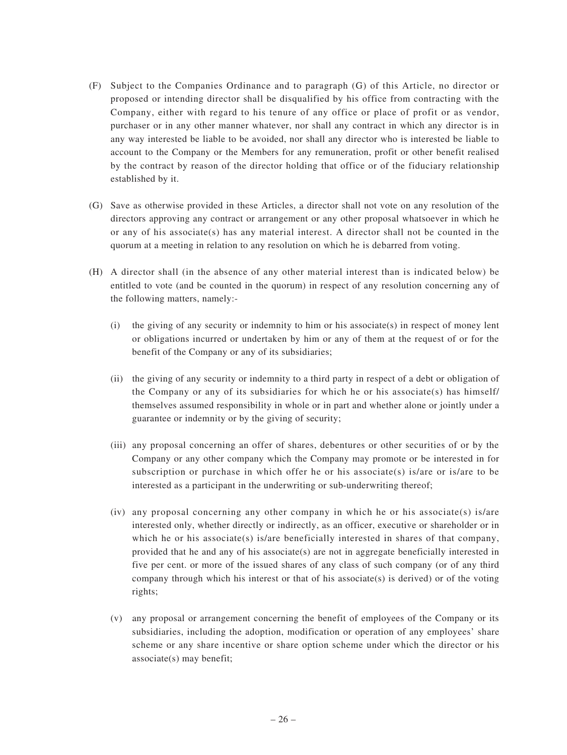- (F) Subject to the Companies Ordinance and to paragraph (G) of this Article, no director or proposed or intending director shall be disqualified by his office from contracting with the Company, either with regard to his tenure of any office or place of profit or as vendor, purchaser or in any other manner whatever, nor shall any contract in which any director is in any way interested be liable to be avoided, nor shall any director who is interested be liable to account to the Company or the Members for any remuneration, profit or other benefit realised by the contract by reason of the director holding that office or of the fiduciary relationship established by it.
- (G) Save as otherwise provided in these Articles, a director shall not vote on any resolution of the directors approving any contract or arrangement or any other proposal whatsoever in which he or any of his associate(s) has any material interest. A director shall not be counted in the quorum at a meeting in relation to any resolution on which he is debarred from voting.
- (H) A director shall (in the absence of any other material interest than is indicated below) be entitled to vote (and be counted in the quorum) in respect of any resolution concerning any of the following matters, namely:-
	- (i) the giving of any security or indemnity to him or his associate(s) in respect of money lent or obligations incurred or undertaken by him or any of them at the request of or for the benefit of the Company or any of its subsidiaries;
	- (ii) the giving of any security or indemnity to a third party in respect of a debt or obligation of the Company or any of its subsidiaries for which he or his associate(s) has himself/ themselves assumed responsibility in whole or in part and whether alone or jointly under a guarantee or indemnity or by the giving of security;
	- (iii) any proposal concerning an offer of shares, debentures or other securities of or by the Company or any other company which the Company may promote or be interested in for subscription or purchase in which offer he or his associate(s) is/are or is/are to be interested as a participant in the underwriting or sub-underwriting thereof;
	- (iv) any proposal concerning any other company in which he or his associate(s) is/are interested only, whether directly or indirectly, as an officer, executive or shareholder or in which he or his associate(s) is/are beneficially interested in shares of that company, provided that he and any of his associate(s) are not in aggregate beneficially interested in five per cent. or more of the issued shares of any class of such company (or of any third company through which his interest or that of his associate(s) is derived) or of the voting rights;
	- (v) any proposal or arrangement concerning the benefit of employees of the Company or its subsidiaries, including the adoption, modification or operation of any employees' share scheme or any share incentive or share option scheme under which the director or his associate(s) may benefit;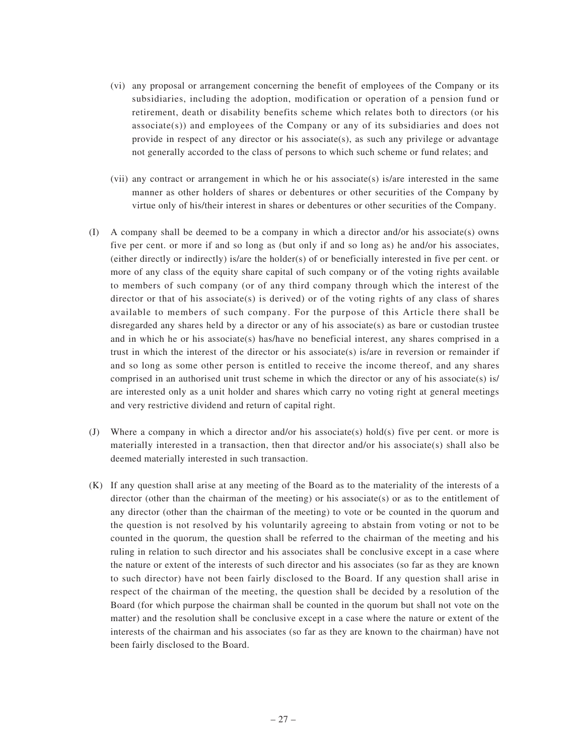- (vi) any proposal or arrangement concerning the benefit of employees of the Company or its subsidiaries, including the adoption, modification or operation of a pension fund or retirement, death or disability benefits scheme which relates both to directors (or his  $associate(s)$  and employees of the Company or any of its subsidiaries and does not provide in respect of any director or his associate(s), as such any privilege or advantage not generally accorded to the class of persons to which such scheme or fund relates; and
- (vii) any contract or arrangement in which he or his associate(s) is/are interested in the same manner as other holders of shares or debentures or other securities of the Company by virtue only of his/their interest in shares or debentures or other securities of the Company.
- (I) A company shall be deemed to be a company in which a director and/or his associate(s) owns five per cent. or more if and so long as (but only if and so long as) he and/or his associates, (either directly or indirectly) is/are the holder(s) of or beneficially interested in five per cent. or more of any class of the equity share capital of such company or of the voting rights available to members of such company (or of any third company through which the interest of the director or that of his associate(s) is derived) or of the voting rights of any class of shares available to members of such company. For the purpose of this Article there shall be disregarded any shares held by a director or any of his associate(s) as bare or custodian trustee and in which he or his associate(s) has/have no beneficial interest, any shares comprised in a trust in which the interest of the director or his associate(s) is/are in reversion or remainder if and so long as some other person is entitled to receive the income thereof, and any shares comprised in an authorised unit trust scheme in which the director or any of his associate(s) is/ are interested only as a unit holder and shares which carry no voting right at general meetings and very restrictive dividend and return of capital right.
- (J) Where a company in which a director and/or his associate(s) hold(s) five per cent. or more is materially interested in a transaction, then that director and/or his associate(s) shall also be deemed materially interested in such transaction.
- (K) If any question shall arise at any meeting of the Board as to the materiality of the interests of a director (other than the chairman of the meeting) or his associate(s) or as to the entitlement of any director (other than the chairman of the meeting) to vote or be counted in the quorum and the question is not resolved by his voluntarily agreeing to abstain from voting or not to be counted in the quorum, the question shall be referred to the chairman of the meeting and his ruling in relation to such director and his associates shall be conclusive except in a case where the nature or extent of the interests of such director and his associates (so far as they are known to such director) have not been fairly disclosed to the Board. If any question shall arise in respect of the chairman of the meeting, the question shall be decided by a resolution of the Board (for which purpose the chairman shall be counted in the quorum but shall not vote on the matter) and the resolution shall be conclusive except in a case where the nature or extent of the interests of the chairman and his associates (so far as they are known to the chairman) have not been fairly disclosed to the Board.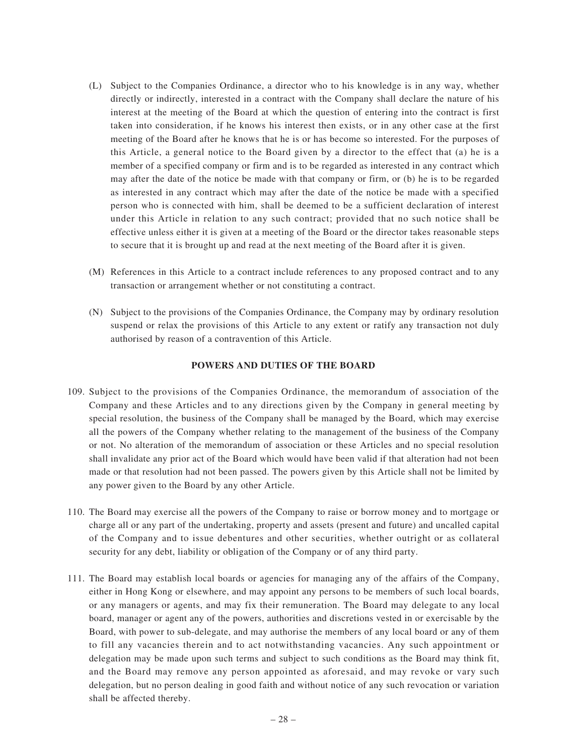- (L) Subject to the Companies Ordinance, a director who to his knowledge is in any way, whether directly or indirectly, interested in a contract with the Company shall declare the nature of his interest at the meeting of the Board at which the question of entering into the contract is first taken into consideration, if he knows his interest then exists, or in any other case at the first meeting of the Board after he knows that he is or has become so interested. For the purposes of this Article, a general notice to the Board given by a director to the effect that (a) he is a member of a specified company or firm and is to be regarded as interested in any contract which may after the date of the notice be made with that company or firm, or (b) he is to be regarded as interested in any contract which may after the date of the notice be made with a specified person who is connected with him, shall be deemed to be a sufficient declaration of interest under this Article in relation to any such contract; provided that no such notice shall be effective unless either it is given at a meeting of the Board or the director takes reasonable steps to secure that it is brought up and read at the next meeting of the Board after it is given.
- (M) References in this Article to a contract include references to any proposed contract and to any transaction or arrangement whether or not constituting a contract.
- (N) Subject to the provisions of the Companies Ordinance, the Company may by ordinary resolution suspend or relax the provisions of this Article to any extent or ratify any transaction not duly authorised by reason of a contravention of this Article.

## **POWERS AND DUTIES OF THE BOARD**

- 109. Subject to the provisions of the Companies Ordinance, the memorandum of association of the Company and these Articles and to any directions given by the Company in general meeting by special resolution, the business of the Company shall be managed by the Board, which may exercise all the powers of the Company whether relating to the management of the business of the Company or not. No alteration of the memorandum of association or these Articles and no special resolution shall invalidate any prior act of the Board which would have been valid if that alteration had not been made or that resolution had not been passed. The powers given by this Article shall not be limited by any power given to the Board by any other Article.
- 110. The Board may exercise all the powers of the Company to raise or borrow money and to mortgage or charge all or any part of the undertaking, property and assets (present and future) and uncalled capital of the Company and to issue debentures and other securities, whether outright or as collateral security for any debt, liability or obligation of the Company or of any third party.
- 111. The Board may establish local boards or agencies for managing any of the affairs of the Company, either in Hong Kong or elsewhere, and may appoint any persons to be members of such local boards, or any managers or agents, and may fix their remuneration. The Board may delegate to any local board, manager or agent any of the powers, authorities and discretions vested in or exercisable by the Board, with power to sub-delegate, and may authorise the members of any local board or any of them to fill any vacancies therein and to act notwithstanding vacancies. Any such appointment or delegation may be made upon such terms and subject to such conditions as the Board may think fit, and the Board may remove any person appointed as aforesaid, and may revoke or vary such delegation, but no person dealing in good faith and without notice of any such revocation or variation shall be affected thereby.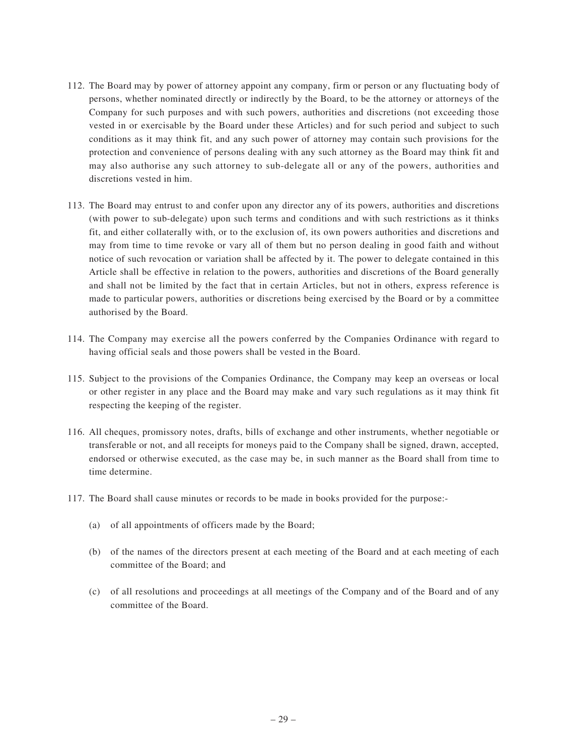- 112. The Board may by power of attorney appoint any company, firm or person or any fluctuating body of persons, whether nominated directly or indirectly by the Board, to be the attorney or attorneys of the Company for such purposes and with such powers, authorities and discretions (not exceeding those vested in or exercisable by the Board under these Articles) and for such period and subject to such conditions as it may think fit, and any such power of attorney may contain such provisions for the protection and convenience of persons dealing with any such attorney as the Board may think fit and may also authorise any such attorney to sub-delegate all or any of the powers, authorities and discretions vested in him.
- 113. The Board may entrust to and confer upon any director any of its powers, authorities and discretions (with power to sub-delegate) upon such terms and conditions and with such restrictions as it thinks fit, and either collaterally with, or to the exclusion of, its own powers authorities and discretions and may from time to time revoke or vary all of them but no person dealing in good faith and without notice of such revocation or variation shall be affected by it. The power to delegate contained in this Article shall be effective in relation to the powers, authorities and discretions of the Board generally and shall not be limited by the fact that in certain Articles, but not in others, express reference is made to particular powers, authorities or discretions being exercised by the Board or by a committee authorised by the Board.
- 114. The Company may exercise all the powers conferred by the Companies Ordinance with regard to having official seals and those powers shall be vested in the Board.
- 115. Subject to the provisions of the Companies Ordinance, the Company may keep an overseas or local or other register in any place and the Board may make and vary such regulations as it may think fit respecting the keeping of the register.
- 116. All cheques, promissory notes, drafts, bills of exchange and other instruments, whether negotiable or transferable or not, and all receipts for moneys paid to the Company shall be signed, drawn, accepted, endorsed or otherwise executed, as the case may be, in such manner as the Board shall from time to time determine.
- 117. The Board shall cause minutes or records to be made in books provided for the purpose:-
	- (a) of all appointments of officers made by the Board;
	- (b) of the names of the directors present at each meeting of the Board and at each meeting of each committee of the Board; and
	- (c) of all resolutions and proceedings at all meetings of the Company and of the Board and of any committee of the Board.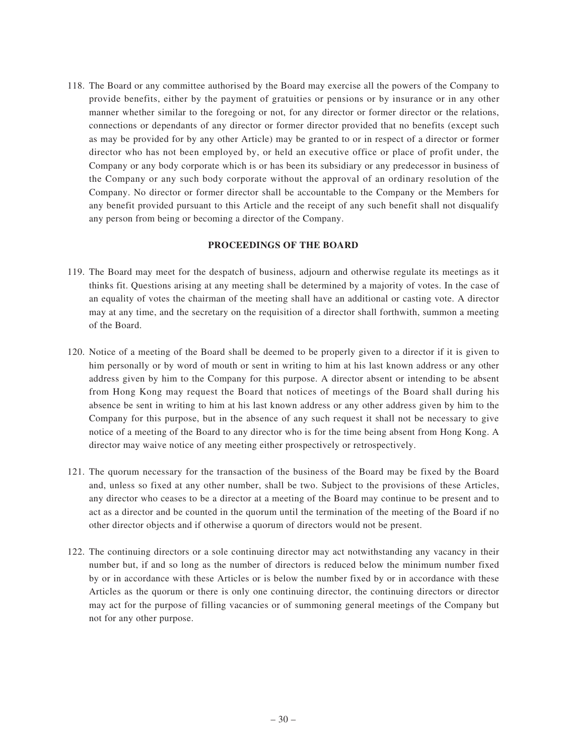118. The Board or any committee authorised by the Board may exercise all the powers of the Company to provide benefits, either by the payment of gratuities or pensions or by insurance or in any other manner whether similar to the foregoing or not, for any director or former director or the relations, connections or dependants of any director or former director provided that no benefits (except such as may be provided for by any other Article) may be granted to or in respect of a director or former director who has not been employed by, or held an executive office or place of profit under, the Company or any body corporate which is or has been its subsidiary or any predecessor in business of the Company or any such body corporate without the approval of an ordinary resolution of the Company. No director or former director shall be accountable to the Company or the Members for any benefit provided pursuant to this Article and the receipt of any such benefit shall not disqualify any person from being or becoming a director of the Company.

## **PROCEEDINGS OF THE BOARD**

- 119. The Board may meet for the despatch of business, adjourn and otherwise regulate its meetings as it thinks fit. Questions arising at any meeting shall be determined by a majority of votes. In the case of an equality of votes the chairman of the meeting shall have an additional or casting vote. A director may at any time, and the secretary on the requisition of a director shall forthwith, summon a meeting of the Board.
- 120. Notice of a meeting of the Board shall be deemed to be properly given to a director if it is given to him personally or by word of mouth or sent in writing to him at his last known address or any other address given by him to the Company for this purpose. A director absent or intending to be absent from Hong Kong may request the Board that notices of meetings of the Board shall during his absence be sent in writing to him at his last known address or any other address given by him to the Company for this purpose, but in the absence of any such request it shall not be necessary to give notice of a meeting of the Board to any director who is for the time being absent from Hong Kong. A director may waive notice of any meeting either prospectively or retrospectively.
- 121. The quorum necessary for the transaction of the business of the Board may be fixed by the Board and, unless so fixed at any other number, shall be two. Subject to the provisions of these Articles, any director who ceases to be a director at a meeting of the Board may continue to be present and to act as a director and be counted in the quorum until the termination of the meeting of the Board if no other director objects and if otherwise a quorum of directors would not be present.
- 122. The continuing directors or a sole continuing director may act notwithstanding any vacancy in their number but, if and so long as the number of directors is reduced below the minimum number fixed by or in accordance with these Articles or is below the number fixed by or in accordance with these Articles as the quorum or there is only one continuing director, the continuing directors or director may act for the purpose of filling vacancies or of summoning general meetings of the Company but not for any other purpose.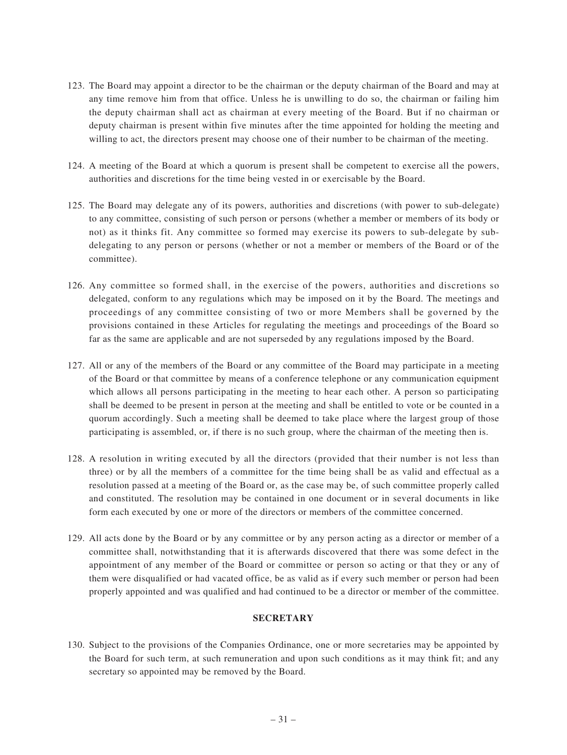- 123. The Board may appoint a director to be the chairman or the deputy chairman of the Board and may at any time remove him from that office. Unless he is unwilling to do so, the chairman or failing him the deputy chairman shall act as chairman at every meeting of the Board. But if no chairman or deputy chairman is present within five minutes after the time appointed for holding the meeting and willing to act, the directors present may choose one of their number to be chairman of the meeting.
- 124. A meeting of the Board at which a quorum is present shall be competent to exercise all the powers, authorities and discretions for the time being vested in or exercisable by the Board.
- 125. The Board may delegate any of its powers, authorities and discretions (with power to sub-delegate) to any committee, consisting of such person or persons (whether a member or members of its body or not) as it thinks fit. Any committee so formed may exercise its powers to sub-delegate by subdelegating to any person or persons (whether or not a member or members of the Board or of the committee).
- 126. Any committee so formed shall, in the exercise of the powers, authorities and discretions so delegated, conform to any regulations which may be imposed on it by the Board. The meetings and proceedings of any committee consisting of two or more Members shall be governed by the provisions contained in these Articles for regulating the meetings and proceedings of the Board so far as the same are applicable and are not superseded by any regulations imposed by the Board.
- 127. All or any of the members of the Board or any committee of the Board may participate in a meeting of the Board or that committee by means of a conference telephone or any communication equipment which allows all persons participating in the meeting to hear each other. A person so participating shall be deemed to be present in person at the meeting and shall be entitled to vote or be counted in a quorum accordingly. Such a meeting shall be deemed to take place where the largest group of those participating is assembled, or, if there is no such group, where the chairman of the meeting then is.
- 128. A resolution in writing executed by all the directors (provided that their number is not less than three) or by all the members of a committee for the time being shall be as valid and effectual as a resolution passed at a meeting of the Board or, as the case may be, of such committee properly called and constituted. The resolution may be contained in one document or in several documents in like form each executed by one or more of the directors or members of the committee concerned.
- 129. All acts done by the Board or by any committee or by any person acting as a director or member of a committee shall, notwithstanding that it is afterwards discovered that there was some defect in the appointment of any member of the Board or committee or person so acting or that they or any of them were disqualified or had vacated office, be as valid as if every such member or person had been properly appointed and was qualified and had continued to be a director or member of the committee.

#### **SECRETARY**

130. Subject to the provisions of the Companies Ordinance, one or more secretaries may be appointed by the Board for such term, at such remuneration and upon such conditions as it may think fit; and any secretary so appointed may be removed by the Board.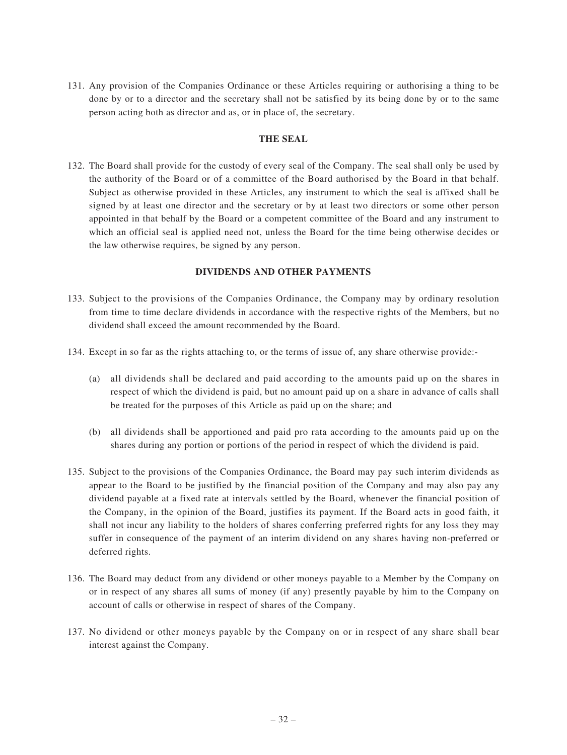131. Any provision of the Companies Ordinance or these Articles requiring or authorising a thing to be done by or to a director and the secretary shall not be satisfied by its being done by or to the same person acting both as director and as, or in place of, the secretary.

#### **THE SEAL**

132. The Board shall provide for the custody of every seal of the Company. The seal shall only be used by the authority of the Board or of a committee of the Board authorised by the Board in that behalf. Subject as otherwise provided in these Articles, any instrument to which the seal is affixed shall be signed by at least one director and the secretary or by at least two directors or some other person appointed in that behalf by the Board or a competent committee of the Board and any instrument to which an official seal is applied need not, unless the Board for the time being otherwise decides or the law otherwise requires, be signed by any person.

## **DIVIDENDS AND OTHER PAYMENTS**

- 133. Subject to the provisions of the Companies Ordinance, the Company may by ordinary resolution from time to time declare dividends in accordance with the respective rights of the Members, but no dividend shall exceed the amount recommended by the Board.
- 134. Except in so far as the rights attaching to, or the terms of issue of, any share otherwise provide:-
	- (a) all dividends shall be declared and paid according to the amounts paid up on the shares in respect of which the dividend is paid, but no amount paid up on a share in advance of calls shall be treated for the purposes of this Article as paid up on the share; and
	- (b) all dividends shall be apportioned and paid pro rata according to the amounts paid up on the shares during any portion or portions of the period in respect of which the dividend is paid.
- 135. Subject to the provisions of the Companies Ordinance, the Board may pay such interim dividends as appear to the Board to be justified by the financial position of the Company and may also pay any dividend payable at a fixed rate at intervals settled by the Board, whenever the financial position of the Company, in the opinion of the Board, justifies its payment. If the Board acts in good faith, it shall not incur any liability to the holders of shares conferring preferred rights for any loss they may suffer in consequence of the payment of an interim dividend on any shares having non-preferred or deferred rights.
- 136. The Board may deduct from any dividend or other moneys payable to a Member by the Company on or in respect of any shares all sums of money (if any) presently payable by him to the Company on account of calls or otherwise in respect of shares of the Company.
- 137. No dividend or other moneys payable by the Company on or in respect of any share shall bear interest against the Company.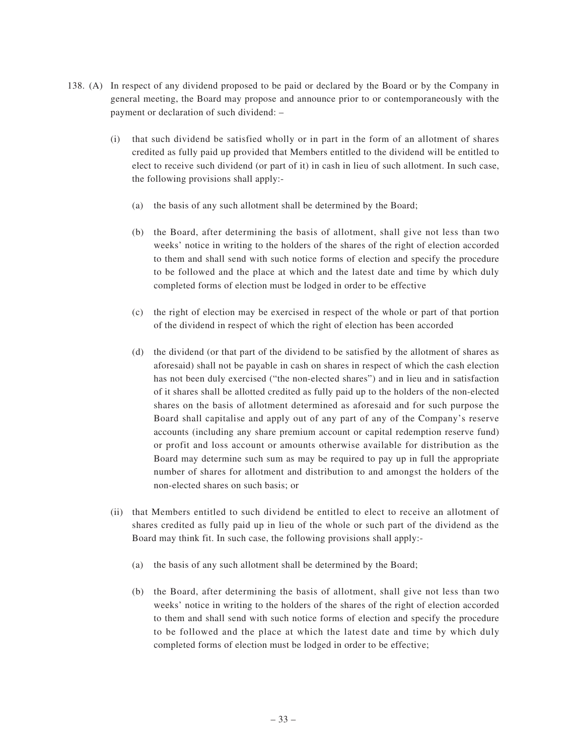- 138. (A) In respect of any dividend proposed to be paid or declared by the Board or by the Company in general meeting, the Board may propose and announce prior to or contemporaneously with the payment or declaration of such dividend: –
	- (i) that such dividend be satisfied wholly or in part in the form of an allotment of shares credited as fully paid up provided that Members entitled to the dividend will be entitled to elect to receive such dividend (or part of it) in cash in lieu of such allotment. In such case, the following provisions shall apply:-
		- (a) the basis of any such allotment shall be determined by the Board;
		- (b) the Board, after determining the basis of allotment, shall give not less than two weeks' notice in writing to the holders of the shares of the right of election accorded to them and shall send with such notice forms of election and specify the procedure to be followed and the place at which and the latest date and time by which duly completed forms of election must be lodged in order to be effective
		- (c) the right of election may be exercised in respect of the whole or part of that portion of the dividend in respect of which the right of election has been accorded
		- (d) the dividend (or that part of the dividend to be satisfied by the allotment of shares as aforesaid) shall not be payable in cash on shares in respect of which the cash election has not been duly exercised ("the non-elected shares") and in lieu and in satisfaction of it shares shall be allotted credited as fully paid up to the holders of the non-elected shares on the basis of allotment determined as aforesaid and for such purpose the Board shall capitalise and apply out of any part of any of the Company's reserve accounts (including any share premium account or capital redemption reserve fund) or profit and loss account or amounts otherwise available for distribution as the Board may determine such sum as may be required to pay up in full the appropriate number of shares for allotment and distribution to and amongst the holders of the non-elected shares on such basis; or
	- (ii) that Members entitled to such dividend be entitled to elect to receive an allotment of shares credited as fully paid up in lieu of the whole or such part of the dividend as the Board may think fit. In such case, the following provisions shall apply:-
		- (a) the basis of any such allotment shall be determined by the Board;
		- (b) the Board, after determining the basis of allotment, shall give not less than two weeks' notice in writing to the holders of the shares of the right of election accorded to them and shall send with such notice forms of election and specify the procedure to be followed and the place at which the latest date and time by which duly completed forms of election must be lodged in order to be effective;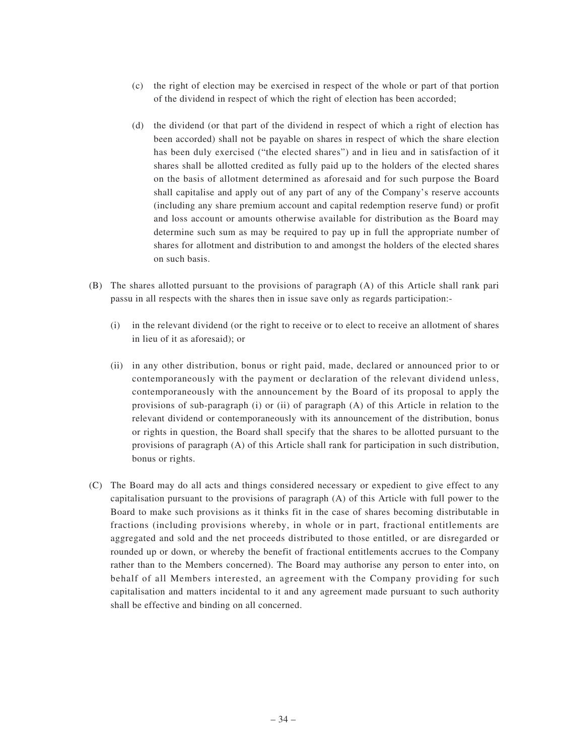- (c) the right of election may be exercised in respect of the whole or part of that portion of the dividend in respect of which the right of election has been accorded;
- (d) the dividend (or that part of the dividend in respect of which a right of election has been accorded) shall not be payable on shares in respect of which the share election has been duly exercised ("the elected shares") and in lieu and in satisfaction of it shares shall be allotted credited as fully paid up to the holders of the elected shares on the basis of allotment determined as aforesaid and for such purpose the Board shall capitalise and apply out of any part of any of the Company's reserve accounts (including any share premium account and capital redemption reserve fund) or profit and loss account or amounts otherwise available for distribution as the Board may determine such sum as may be required to pay up in full the appropriate number of shares for allotment and distribution to and amongst the holders of the elected shares on such basis.
- (B) The shares allotted pursuant to the provisions of paragraph (A) of this Article shall rank pari passu in all respects with the shares then in issue save only as regards participation:-
	- (i) in the relevant dividend (or the right to receive or to elect to receive an allotment of shares in lieu of it as aforesaid); or
	- (ii) in any other distribution, bonus or right paid, made, declared or announced prior to or contemporaneously with the payment or declaration of the relevant dividend unless, contemporaneously with the announcement by the Board of its proposal to apply the provisions of sub-paragraph (i) or (ii) of paragraph (A) of this Article in relation to the relevant dividend or contemporaneously with its announcement of the distribution, bonus or rights in question, the Board shall specify that the shares to be allotted pursuant to the provisions of paragraph (A) of this Article shall rank for participation in such distribution, bonus or rights.
- (C) The Board may do all acts and things considered necessary or expedient to give effect to any capitalisation pursuant to the provisions of paragraph (A) of this Article with full power to the Board to make such provisions as it thinks fit in the case of shares becoming distributable in fractions (including provisions whereby, in whole or in part, fractional entitlements are aggregated and sold and the net proceeds distributed to those entitled, or are disregarded or rounded up or down, or whereby the benefit of fractional entitlements accrues to the Company rather than to the Members concerned). The Board may authorise any person to enter into, on behalf of all Members interested, an agreement with the Company providing for such capitalisation and matters incidental to it and any agreement made pursuant to such authority shall be effective and binding on all concerned.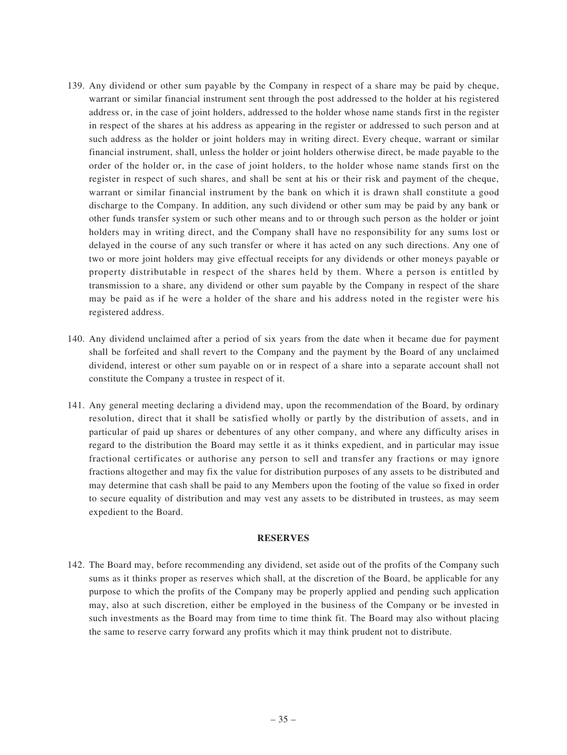- 139. Any dividend or other sum payable by the Company in respect of a share may be paid by cheque, warrant or similar financial instrument sent through the post addressed to the holder at his registered address or, in the case of joint holders, addressed to the holder whose name stands first in the register in respect of the shares at his address as appearing in the register or addressed to such person and at such address as the holder or joint holders may in writing direct. Every cheque, warrant or similar financial instrument, shall, unless the holder or joint holders otherwise direct, be made payable to the order of the holder or, in the case of joint holders, to the holder whose name stands first on the register in respect of such shares, and shall be sent at his or their risk and payment of the cheque, warrant or similar financial instrument by the bank on which it is drawn shall constitute a good discharge to the Company. In addition, any such dividend or other sum may be paid by any bank or other funds transfer system or such other means and to or through such person as the holder or joint holders may in writing direct, and the Company shall have no responsibility for any sums lost or delayed in the course of any such transfer or where it has acted on any such directions. Any one of two or more joint holders may give effectual receipts for any dividends or other moneys payable or property distributable in respect of the shares held by them. Where a person is entitled by transmission to a share, any dividend or other sum payable by the Company in respect of the share may be paid as if he were a holder of the share and his address noted in the register were his registered address.
- 140. Any dividend unclaimed after a period of six years from the date when it became due for payment shall be forfeited and shall revert to the Company and the payment by the Board of any unclaimed dividend, interest or other sum payable on or in respect of a share into a separate account shall not constitute the Company a trustee in respect of it.
- 141. Any general meeting declaring a dividend may, upon the recommendation of the Board, by ordinary resolution, direct that it shall be satisfied wholly or partly by the distribution of assets, and in particular of paid up shares or debentures of any other company, and where any difficulty arises in regard to the distribution the Board may settle it as it thinks expedient, and in particular may issue fractional certificates or authorise any person to sell and transfer any fractions or may ignore fractions altogether and may fix the value for distribution purposes of any assets to be distributed and may determine that cash shall be paid to any Members upon the footing of the value so fixed in order to secure equality of distribution and may vest any assets to be distributed in trustees, as may seem expedient to the Board.

#### **RESERVES**

142. The Board may, before recommending any dividend, set aside out of the profits of the Company such sums as it thinks proper as reserves which shall, at the discretion of the Board, be applicable for any purpose to which the profits of the Company may be properly applied and pending such application may, also at such discretion, either be employed in the business of the Company or be invested in such investments as the Board may from time to time think fit. The Board may also without placing the same to reserve carry forward any profits which it may think prudent not to distribute.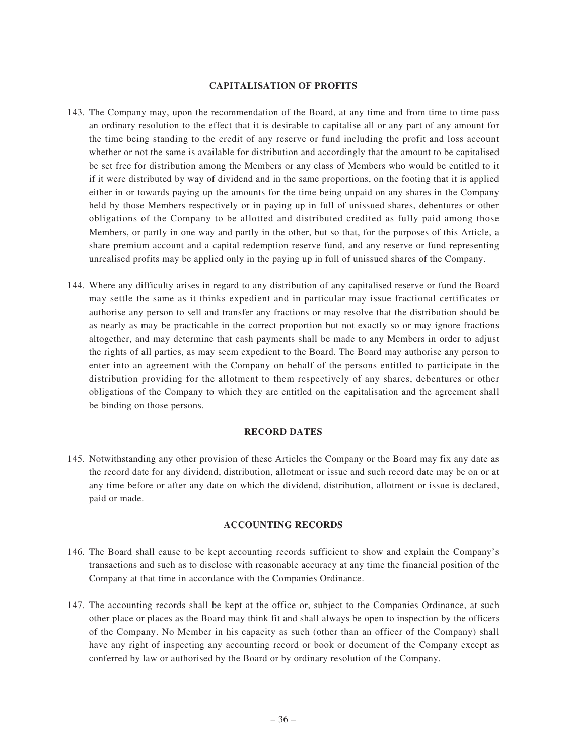#### **CAPITALISATION OF PROFITS**

- 143. The Company may, upon the recommendation of the Board, at any time and from time to time pass an ordinary resolution to the effect that it is desirable to capitalise all or any part of any amount for the time being standing to the credit of any reserve or fund including the profit and loss account whether or not the same is available for distribution and accordingly that the amount to be capitalised be set free for distribution among the Members or any class of Members who would be entitled to it if it were distributed by way of dividend and in the same proportions, on the footing that it is applied either in or towards paying up the amounts for the time being unpaid on any shares in the Company held by those Members respectively or in paying up in full of unissued shares, debentures or other obligations of the Company to be allotted and distributed credited as fully paid among those Members, or partly in one way and partly in the other, but so that, for the purposes of this Article, a share premium account and a capital redemption reserve fund, and any reserve or fund representing unrealised profits may be applied only in the paying up in full of unissued shares of the Company.
- 144. Where any difficulty arises in regard to any distribution of any capitalised reserve or fund the Board may settle the same as it thinks expedient and in particular may issue fractional certificates or authorise any person to sell and transfer any fractions or may resolve that the distribution should be as nearly as may be practicable in the correct proportion but not exactly so or may ignore fractions altogether, and may determine that cash payments shall be made to any Members in order to adjust the rights of all parties, as may seem expedient to the Board. The Board may authorise any person to enter into an agreement with the Company on behalf of the persons entitled to participate in the distribution providing for the allotment to them respectively of any shares, debentures or other obligations of the Company to which they are entitled on the capitalisation and the agreement shall be binding on those persons.

#### **RECORD DATES**

145. Notwithstanding any other provision of these Articles the Company or the Board may fix any date as the record date for any dividend, distribution, allotment or issue and such record date may be on or at any time before or after any date on which the dividend, distribution, allotment or issue is declared, paid or made.

#### **ACCOUNTING RECORDS**

- 146. The Board shall cause to be kept accounting records sufficient to show and explain the Company's transactions and such as to disclose with reasonable accuracy at any time the financial position of the Company at that time in accordance with the Companies Ordinance.
- 147. The accounting records shall be kept at the office or, subject to the Companies Ordinance, at such other place or places as the Board may think fit and shall always be open to inspection by the officers of the Company. No Member in his capacity as such (other than an officer of the Company) shall have any right of inspecting any accounting record or book or document of the Company except as conferred by law or authorised by the Board or by ordinary resolution of the Company.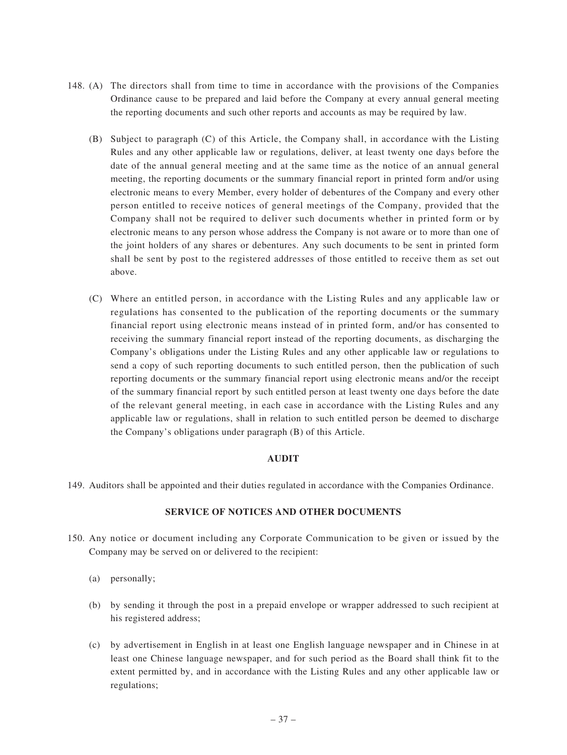- 148. (A) The directors shall from time to time in accordance with the provisions of the Companies Ordinance cause to be prepared and laid before the Company at every annual general meeting the reporting documents and such other reports and accounts as may be required by law.
	- (B) Subject to paragraph (C) of this Article, the Company shall, in accordance with the Listing Rules and any other applicable law or regulations, deliver, at least twenty one days before the date of the annual general meeting and at the same time as the notice of an annual general meeting, the reporting documents or the summary financial report in printed form and/or using electronic means to every Member, every holder of debentures of the Company and every other person entitled to receive notices of general meetings of the Company, provided that the Company shall not be required to deliver such documents whether in printed form or by electronic means to any person whose address the Company is not aware or to more than one of the joint holders of any shares or debentures. Any such documents to be sent in printed form shall be sent by post to the registered addresses of those entitled to receive them as set out above.
	- (C) Where an entitled person, in accordance with the Listing Rules and any applicable law or regulations has consented to the publication of the reporting documents or the summary financial report using electronic means instead of in printed form, and/or has consented to receiving the summary financial report instead of the reporting documents, as discharging the Company's obligations under the Listing Rules and any other applicable law or regulations to send a copy of such reporting documents to such entitled person, then the publication of such reporting documents or the summary financial report using electronic means and/or the receipt of the summary financial report by such entitled person at least twenty one days before the date of the relevant general meeting, in each case in accordance with the Listing Rules and any applicable law or regulations, shall in relation to such entitled person be deemed to discharge the Company's obligations under paragraph (B) of this Article.

## **AUDIT**

149. Auditors shall be appointed and their duties regulated in accordance with the Companies Ordinance.

## **SERVICE OF NOTICES AND OTHER DOCUMENTS**

- 150. Any notice or document including any Corporate Communication to be given or issued by the Company may be served on or delivered to the recipient:
	- (a) personally;
	- (b) by sending it through the post in a prepaid envelope or wrapper addressed to such recipient at his registered address;
	- (c) by advertisement in English in at least one English language newspaper and in Chinese in at least one Chinese language newspaper, and for such period as the Board shall think fit to the extent permitted by, and in accordance with the Listing Rules and any other applicable law or regulations;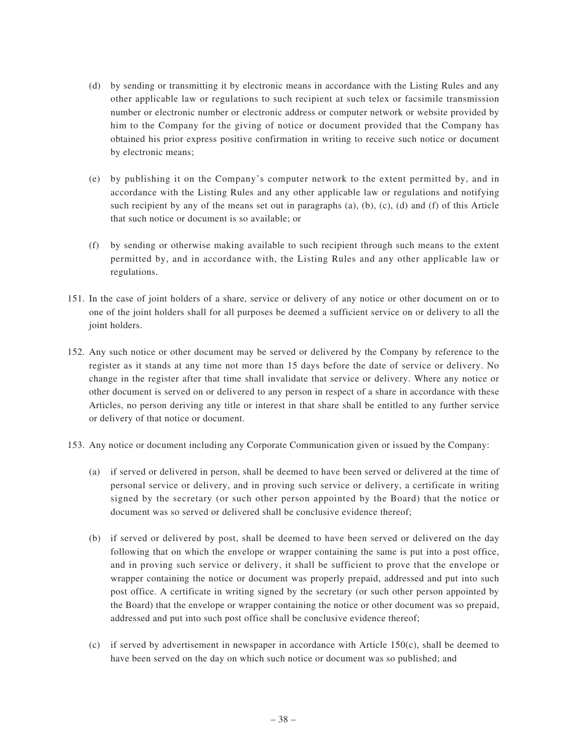- (d) by sending or transmitting it by electronic means in accordance with the Listing Rules and any other applicable law or regulations to such recipient at such telex or facsimile transmission number or electronic number or electronic address or computer network or website provided by him to the Company for the giving of notice or document provided that the Company has obtained his prior express positive confirmation in writing to receive such notice or document by electronic means;
- (e) by publishing it on the Company's computer network to the extent permitted by, and in accordance with the Listing Rules and any other applicable law or regulations and notifying such recipient by any of the means set out in paragraphs (a), (b),  $(c)$ , (d) and  $(f)$  of this Article that such notice or document is so available; or
- (f) by sending or otherwise making available to such recipient through such means to the extent permitted by, and in accordance with, the Listing Rules and any other applicable law or regulations.
- 151. In the case of joint holders of a share, service or delivery of any notice or other document on or to one of the joint holders shall for all purposes be deemed a sufficient service on or delivery to all the joint holders.
- 152. Any such notice or other document may be served or delivered by the Company by reference to the register as it stands at any time not more than 15 days before the date of service or delivery. No change in the register after that time shall invalidate that service or delivery. Where any notice or other document is served on or delivered to any person in respect of a share in accordance with these Articles, no person deriving any title or interest in that share shall be entitled to any further service or delivery of that notice or document.
- 153. Any notice or document including any Corporate Communication given or issued by the Company:
	- (a) if served or delivered in person, shall be deemed to have been served or delivered at the time of personal service or delivery, and in proving such service or delivery, a certificate in writing signed by the secretary (or such other person appointed by the Board) that the notice or document was so served or delivered shall be conclusive evidence thereof;
	- (b) if served or delivered by post, shall be deemed to have been served or delivered on the day following that on which the envelope or wrapper containing the same is put into a post office, and in proving such service or delivery, it shall be sufficient to prove that the envelope or wrapper containing the notice or document was properly prepaid, addressed and put into such post office. A certificate in writing signed by the secretary (or such other person appointed by the Board) that the envelope or wrapper containing the notice or other document was so prepaid, addressed and put into such post office shall be conclusive evidence thereof;
	- (c) if served by advertisement in newspaper in accordance with Article  $150(c)$ , shall be deemed to have been served on the day on which such notice or document was so published; and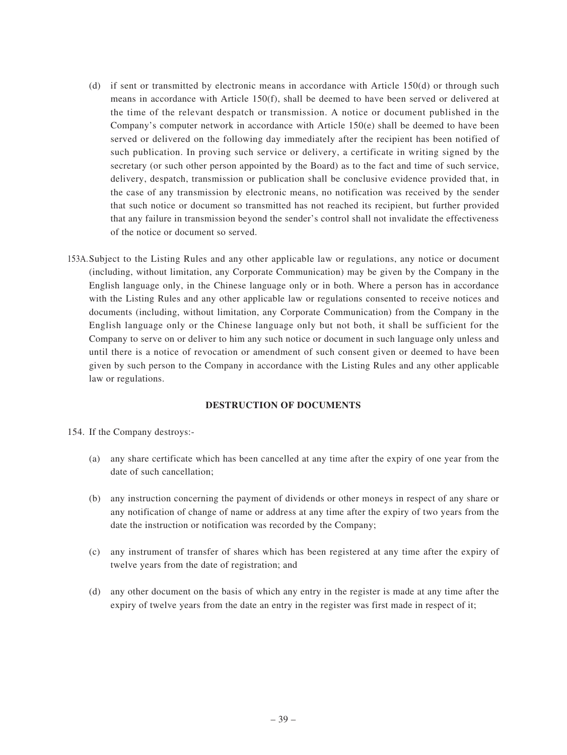- (d) if sent or transmitted by electronic means in accordance with Article 150(d) or through such means in accordance with Article 150(f), shall be deemed to have been served or delivered at the time of the relevant despatch or transmission. A notice or document published in the Company's computer network in accordance with Article 150(e) shall be deemed to have been served or delivered on the following day immediately after the recipient has been notified of such publication. In proving such service or delivery, a certificate in writing signed by the secretary (or such other person appointed by the Board) as to the fact and time of such service, delivery, despatch, transmission or publication shall be conclusive evidence provided that, in the case of any transmission by electronic means, no notification was received by the sender that such notice or document so transmitted has not reached its recipient, but further provided that any failure in transmission beyond the sender's control shall not invalidate the effectiveness of the notice or document so served.
- 153A.Subject to the Listing Rules and any other applicable law or regulations, any notice or document (including, without limitation, any Corporate Communication) may be given by the Company in the English language only, in the Chinese language only or in both. Where a person has in accordance with the Listing Rules and any other applicable law or regulations consented to receive notices and documents (including, without limitation, any Corporate Communication) from the Company in the English language only or the Chinese language only but not both, it shall be sufficient for the Company to serve on or deliver to him any such notice or document in such language only unless and until there is a notice of revocation or amendment of such consent given or deemed to have been given by such person to the Company in accordance with the Listing Rules and any other applicable law or regulations.

## **DESTRUCTION OF DOCUMENTS**

154. If the Company destroys:-

- (a) any share certificate which has been cancelled at any time after the expiry of one year from the date of such cancellation;
- (b) any instruction concerning the payment of dividends or other moneys in respect of any share or any notification of change of name or address at any time after the expiry of two years from the date the instruction or notification was recorded by the Company;
- (c) any instrument of transfer of shares which has been registered at any time after the expiry of twelve years from the date of registration; and
- (d) any other document on the basis of which any entry in the register is made at any time after the expiry of twelve years from the date an entry in the register was first made in respect of it;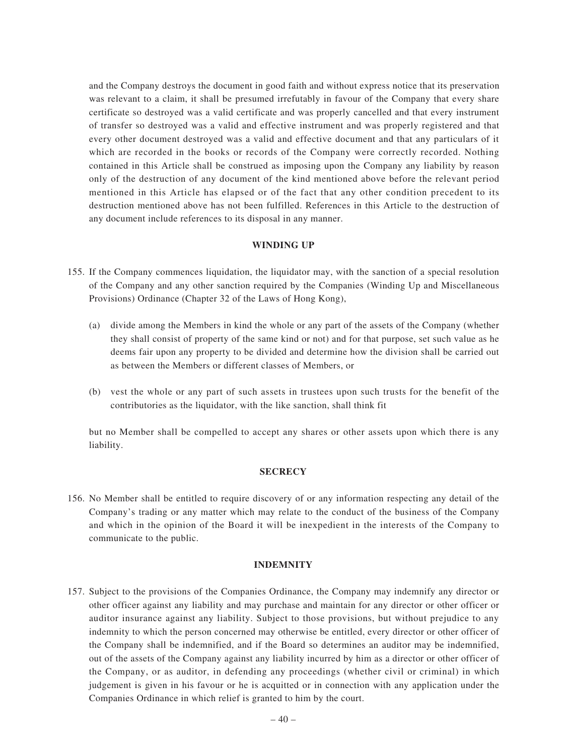and the Company destroys the document in good faith and without express notice that its preservation was relevant to a claim, it shall be presumed irrefutably in favour of the Company that every share certificate so destroyed was a valid certificate and was properly cancelled and that every instrument of transfer so destroyed was a valid and effective instrument and was properly registered and that every other document destroyed was a valid and effective document and that any particulars of it which are recorded in the books or records of the Company were correctly recorded. Nothing contained in this Article shall be construed as imposing upon the Company any liability by reason only of the destruction of any document of the kind mentioned above before the relevant period mentioned in this Article has elapsed or of the fact that any other condition precedent to its destruction mentioned above has not been fulfilled. References in this Article to the destruction of any document include references to its disposal in any manner.

#### **WINDING UP**

- 155. If the Company commences liquidation, the liquidator may, with the sanction of a special resolution of the Company and any other sanction required by the Companies (Winding Up and Miscellaneous Provisions) Ordinance (Chapter 32 of the Laws of Hong Kong),
	- (a) divide among the Members in kind the whole or any part of the assets of the Company (whether they shall consist of property of the same kind or not) and for that purpose, set such value as he deems fair upon any property to be divided and determine how the division shall be carried out as between the Members or different classes of Members, or
	- (b) vest the whole or any part of such assets in trustees upon such trusts for the benefit of the contributories as the liquidator, with the like sanction, shall think fit

but no Member shall be compelled to accept any shares or other assets upon which there is any liability.

#### **SECRECY**

156. No Member shall be entitled to require discovery of or any information respecting any detail of the Company's trading or any matter which may relate to the conduct of the business of the Company and which in the opinion of the Board it will be inexpedient in the interests of the Company to communicate to the public.

#### **INDEMNITY**

157. Subject to the provisions of the Companies Ordinance, the Company may indemnify any director or other officer against any liability and may purchase and maintain for any director or other officer or auditor insurance against any liability. Subject to those provisions, but without prejudice to any indemnity to which the person concerned may otherwise be entitled, every director or other officer of the Company shall be indemnified, and if the Board so determines an auditor may be indemnified, out of the assets of the Company against any liability incurred by him as a director or other officer of the Company, or as auditor, in defending any proceedings (whether civil or criminal) in which judgement is given in his favour or he is acquitted or in connection with any application under the Companies Ordinance in which relief is granted to him by the court.